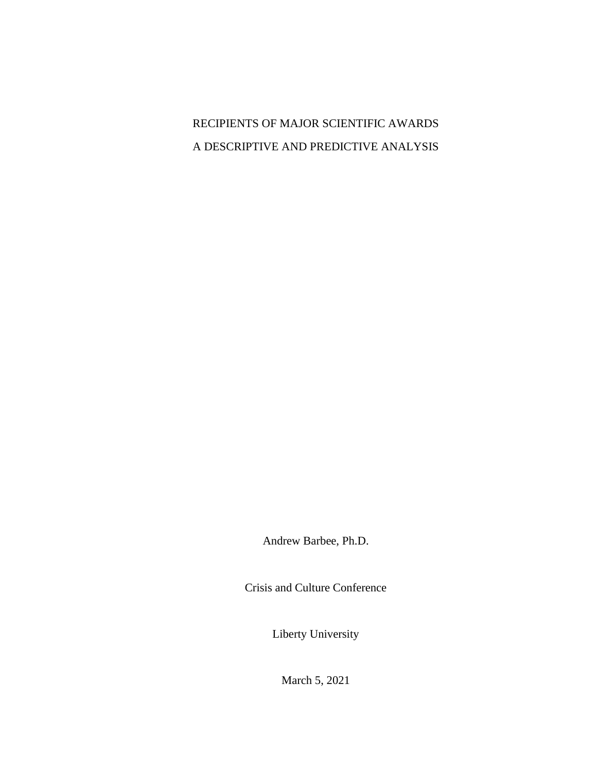RECIPIENTS OF MAJOR SCIENTIFIC AWARDS A DESCRIPTIVE AND PREDICTIVE ANALYSIS

Andrew Barbee, Ph.D.

Crisis and Culture Conference

Liberty University

March 5, 2021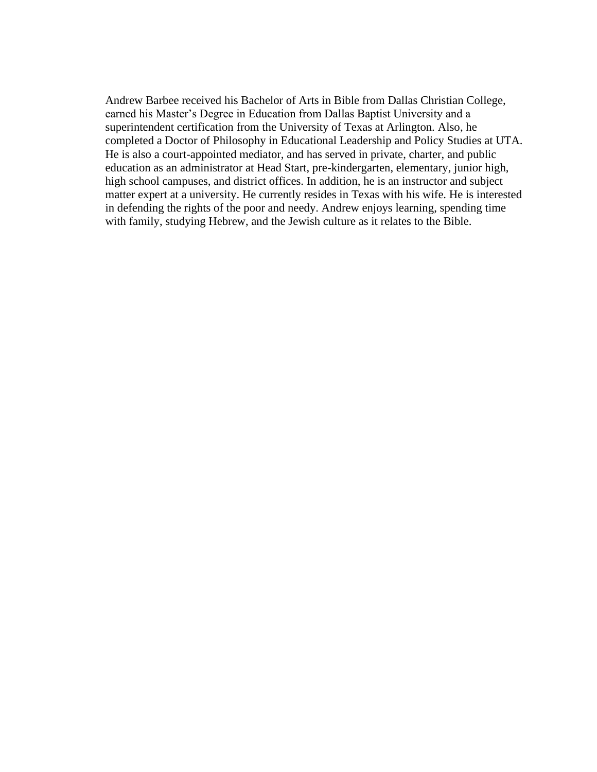Andrew Barbee received his Bachelor of Arts in Bible from Dallas Christian College, earned his Master's Degree in Education from Dallas Baptist University and a superintendent certification from the University of Texas at Arlington. Also, he completed a Doctor of Philosophy in Educational Leadership and Policy Studies at UTA. He is also a court-appointed mediator, and has served in private, charter, and public education as an administrator at Head Start, pre-kindergarten, elementary, junior high, high school campuses, and district offices. In addition, he is an instructor and subject matter expert at a university. He currently resides in Texas with his wife. He is interested in defending the rights of the poor and needy. Andrew enjoys learning, spending time with family, studying Hebrew, and the Jewish culture as it relates to the Bible.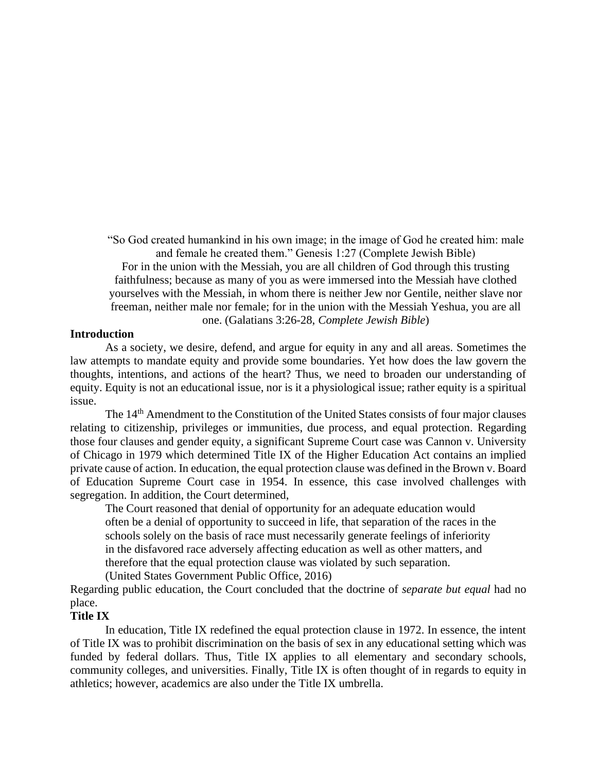"So God created humankind in his own image; in the image of God he created him: male and female he created them." Genesis 1:27 (Complete Jewish Bible) For in the union with the Messiah, you are all children of God through this trusting faithfulness; because as many of you as were immersed into the Messiah have clothed yourselves with the Messiah, in whom there is neither Jew nor Gentile, neither slave nor freeman, neither male nor female; for in the union with the Messiah Yeshua, you are all one. (Galatians 3:26-28, *Complete Jewish Bible*)

#### **Introduction**

As a society, we desire, defend, and argue for equity in any and all areas. Sometimes the law attempts to mandate equity and provide some boundaries. Yet how does the law govern the thoughts, intentions, and actions of the heart? Thus, we need to broaden our understanding of equity. Equity is not an educational issue, nor is it a physiological issue; rather equity is a spiritual issue.

The 14<sup>th</sup> Amendment to the Constitution of the United States consists of four major clauses relating to citizenship, privileges or immunities, due process, and equal protection. Regarding those four clauses and gender equity, a significant Supreme Court case was Cannon v. University of Chicago in 1979 which determined Title IX of the Higher Education Act contains an implied private cause of action. In education, the equal protection clause was defined in the Brown v. Board of Education Supreme Court case in 1954. In essence, this case involved challenges with segregation. In addition, the Court determined,

The Court reasoned that denial of opportunity for an adequate education would often be a denial of opportunity to succeed in life, that separation of the races in the schools solely on the basis of race must necessarily generate feelings of inferiority in the disfavored race adversely affecting education as well as other matters, and therefore that the equal protection clause was violated by such separation. (United States Government Public Office, 2016)

Regarding public education, the Court concluded that the doctrine of *separate but equal* had no place.

#### **Title IX**

In education, Title IX redefined the equal protection clause in 1972. In essence, the intent of Title IX was to prohibit discrimination on the basis of sex in any educational setting which was funded by federal dollars. Thus, Title IX applies to all elementary and secondary schools, community colleges, and universities. Finally, Title IX is often thought of in regards to equity in athletics; however, academics are also under the Title IX umbrella.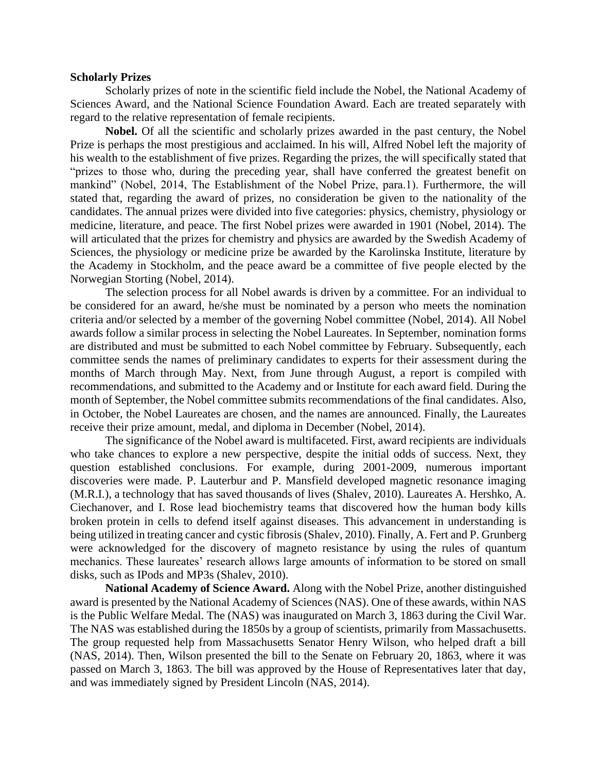#### **Scholarly Prizes**

Scholarly prizes of note in the scientific field include the Nobel, the National Academy of Sciences Award, and the National Science Foundation Award. Each are treated separately with regard to the relative representation of female recipients.

**Nobel.** Of all the scientific and scholarly prizes awarded in the past century, the Nobel Prize is perhaps the most prestigious and acclaimed. In his will, Alfred Nobel left the majority of his wealth to the establishment of five prizes. Regarding the prizes, the will specifically stated that "prizes to those who, during the preceding year, shall have conferred the greatest benefit on mankind" (Nobel, 2014, The Establishment of the Nobel Prize, para.1). Furthermore, the will stated that, regarding the award of prizes, no consideration be given to the nationality of the candidates. The annual prizes were divided into five categories: physics, chemistry, physiology or medicine, literature, and peace. The first Nobel prizes were awarded in 1901 (Nobel, 2014). The will articulated that the prizes for chemistry and physics are awarded by the Swedish Academy of Sciences, the physiology or medicine prize be awarded by the Karolinska Institute, literature by the Academy in Stockholm, and the peace award be a committee of five people elected by the Norwegian Storting (Nobel, 2014).

The selection process for all Nobel awards is driven by a committee. For an individual to be considered for an award, he/she must be nominated by a person who meets the nomination criteria and/or selected by a member of the governing Nobel committee (Nobel, 2014). All Nobel awards follow a similar process in selecting the Nobel Laureates. In September, nomination forms are distributed and must be submitted to each Nobel committee by February. Subsequently, each committee sends the names of preliminary candidates to experts for their assessment during the months of March through May. Next, from June through August, a report is compiled with recommendations, and submitted to the Academy and or Institute for each award field. During the month of September, the Nobel committee submits recommendations of the final candidates. Also, in October, the Nobel Laureates are chosen, and the names are announced. Finally, the Laureates receive their prize amount, medal, and diploma in December (Nobel, 2014).

The significance of the Nobel award is multifaceted. First, award recipients are individuals who take chances to explore a new perspective, despite the initial odds of success. Next, they question established conclusions. For example, during 2001-2009, numerous important discoveries were made. P. Lauterbur and P. Mansfield developed magnetic resonance imaging (M.R.I.), a technology that has saved thousands of lives (Shalev, 2010). Laureates A. Hershko, A. Ciechanover, and I. Rose lead biochemistry teams that discovered how the human body kills broken protein in cells to defend itself against diseases. This advancement in understanding is being utilized in treating cancer and cystic fibrosis (Shalev, 2010). Finally, A. Fert and P. Grunberg were acknowledged for the discovery of magneto resistance by using the rules of quantum mechanics. These laureates' research allows large amounts of information to be stored on small disks, such as IPods and MP3s (Shalev, 2010).

**National Academy of Science Award.** Along with the Nobel Prize, another distinguished award is presented by the National Academy of Sciences (NAS). One of these awards, within NAS is the Public Welfare Medal. The (NAS) was inaugurated on March 3, 1863 during the Civil War. The NAS was established during the 1850s by a group of scientists, primarily from Massachusetts. The group requested help from Massachusetts Senator Henry Wilson, who helped draft a bill (NAS, 2014). Then, Wilson presented the bill to the Senate on February 20, 1863, where it was passed on March 3, 1863. The bill was approved by the House of Representatives later that day, and was immediately signed by President Lincoln (NAS, 2014).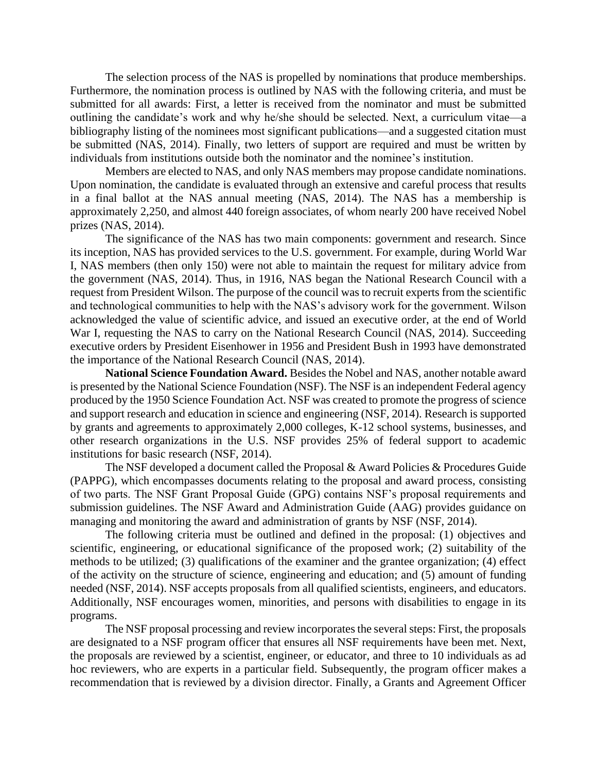The selection process of the NAS is propelled by nominations that produce memberships. Furthermore, the nomination process is outlined by NAS with the following criteria, and must be submitted for all awards: First, a letter is received from the nominator and must be submitted outlining the candidate's work and why he/she should be selected. Next, a curriculum vitae—a bibliography listing of the nominees most significant publications—and a suggested citation must be submitted (NAS, 2014). Finally, two letters of support are required and must be written by individuals from institutions outside both the nominator and the nominee's institution.

Members are elected to NAS, and only NAS members may propose candidate nominations. Upon nomination, the candidate is evaluated through an extensive and careful process that results in a final ballot at the NAS annual meeting (NAS, 2014). The NAS has a membership is approximately 2,250, and almost 440 foreign associates, of whom nearly 200 have received Nobel prizes (NAS, 2014).

The significance of the NAS has two main components: government and research. Since its inception, NAS has provided services to the U.S. government. For example, during World War I, NAS members (then only 150) were not able to maintain the request for military advice from the government (NAS, 2014). Thus, in 1916, NAS began the National Research Council with a request from President Wilson. The purpose of the council was to recruit experts from the scientific and technological communities to help with the NAS's advisory work for the government. Wilson acknowledged the value of scientific advice, and issued an executive order, at the end of World War I, requesting the NAS to carry on the National Research Council (NAS, 2014). Succeeding executive orders by President Eisenhower in 1956 and President Bush in 1993 have demonstrated the importance of the National Research Council (NAS, 2014).

**National Science Foundation Award.** Besides the Nobel and NAS, another notable award is presented by the National Science Foundation (NSF). The NSF is an independent Federal agency produced by the 1950 Science Foundation Act. NSF was created to promote the progress of science and support research and education in science and engineering (NSF, 2014). Research is supported by grants and agreements to approximately 2,000 colleges, K-12 school systems, businesses, and other research organizations in the U.S. NSF provides 25% of federal support to academic institutions for basic research (NSF, 2014).

The NSF developed a document called the Proposal & Award Policies & Procedures Guide (PAPPG), which encompasses documents relating to the proposal and award process, consisting of two parts. The NSF Grant Proposal Guide (GPG) contains NSF's proposal requirements and submission guidelines. The NSF Award and Administration Guide (AAG) provides guidance on managing and monitoring the award and administration of grants by NSF (NSF, 2014).

The following criteria must be outlined and defined in the proposal: (1) objectives and scientific, engineering, or educational significance of the proposed work; (2) suitability of the methods to be utilized; (3) qualifications of the examiner and the grantee organization; (4) effect of the activity on the structure of science, engineering and education; and (5) amount of funding needed (NSF, 2014). NSF accepts proposals from all qualified scientists, engineers, and educators. Additionally, NSF encourages women, minorities, and persons with disabilities to engage in its programs.

The NSF proposal processing and review incorporates the several steps: First, the proposals are designated to a NSF program officer that ensures all NSF requirements have been met. Next, the proposals are reviewed by a scientist, engineer, or educator, and three to 10 individuals as ad hoc reviewers, who are experts in a particular field. Subsequently, the program officer makes a recommendation that is reviewed by a division director. Finally, a Grants and Agreement Officer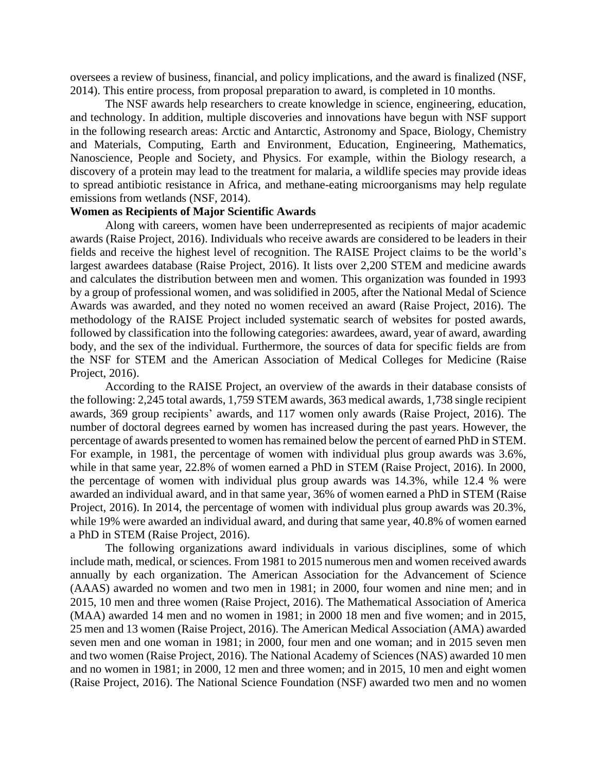oversees a review of business, financial, and policy implications, and the award is finalized (NSF, 2014). This entire process, from proposal preparation to award, is completed in 10 months.

The NSF awards help researchers to create knowledge in science, engineering, education, and technology. In addition, multiple discoveries and innovations have begun with NSF support in the following research areas: Arctic and Antarctic, Astronomy and Space, Biology, Chemistry and Materials, Computing, Earth and Environment, Education, Engineering, Mathematics, Nanoscience, People and Society, and Physics. For example, within the Biology research, a discovery of a protein may lead to the treatment for malaria, a wildlife species may provide ideas to spread antibiotic resistance in Africa, and methane-eating microorganisms may help regulate emissions from wetlands (NSF, 2014).

## **Women as Recipients of Major Scientific Awards**

Along with careers, women have been underrepresented as recipients of major academic awards (Raise Project, 2016). Individuals who receive awards are considered to be leaders in their fields and receive the highest level of recognition. The RAISE Project claims to be the world's largest awardees database (Raise Project, 2016). It lists over 2,200 STEM and medicine awards and calculates the distribution between men and women. This organization was founded in 1993 by a group of professional women, and was solidified in 2005, after the National Medal of Science Awards was awarded, and they noted no women received an award (Raise Project, 2016). The methodology of the RAISE Project included systematic search of websites for posted awards, followed by classification into the following categories: awardees, award, year of award, awarding body, and the sex of the individual. Furthermore, the sources of data for specific fields are from the NSF for STEM and the American Association of Medical Colleges for Medicine (Raise Project, 2016).

According to the RAISE Project, an overview of the awards in their database consists of the following: 2,245 total awards, 1,759 STEM awards, 363 medical awards, 1,738 single recipient awards, 369 group recipients' awards, and 117 women only awards (Raise Project, 2016). The number of doctoral degrees earned by women has increased during the past years. However, the percentage of awards presented to women has remained below the percent of earned PhD in STEM. For example, in 1981, the percentage of women with individual plus group awards was 3.6%, while in that same year, 22.8% of women earned a PhD in STEM (Raise Project, 2016). In 2000, the percentage of women with individual plus group awards was 14.3%, while 12.4 % were awarded an individual award, and in that same year, 36% of women earned a PhD in STEM (Raise Project, 2016). In 2014, the percentage of women with individual plus group awards was 20.3%, while 19% were awarded an individual award, and during that same year, 40.8% of women earned a PhD in STEM (Raise Project, 2016).

The following organizations award individuals in various disciplines, some of which include math, medical, or sciences. From 1981 to 2015 numerous men and women received awards annually by each organization. The American Association for the Advancement of Science (AAAS) awarded no women and two men in 1981; in 2000, four women and nine men; and in 2015, 10 men and three women (Raise Project, 2016). The Mathematical Association of America (MAA) awarded 14 men and no women in 1981; in 2000 18 men and five women; and in 2015, 25 men and 13 women (Raise Project, 2016). The American Medical Association (AMA) awarded seven men and one woman in 1981; in 2000, four men and one woman; and in 2015 seven men and two women (Raise Project, 2016). The National Academy of Sciences (NAS) awarded 10 men and no women in 1981; in 2000, 12 men and three women; and in 2015, 10 men and eight women (Raise Project, 2016). The National Science Foundation (NSF) awarded two men and no women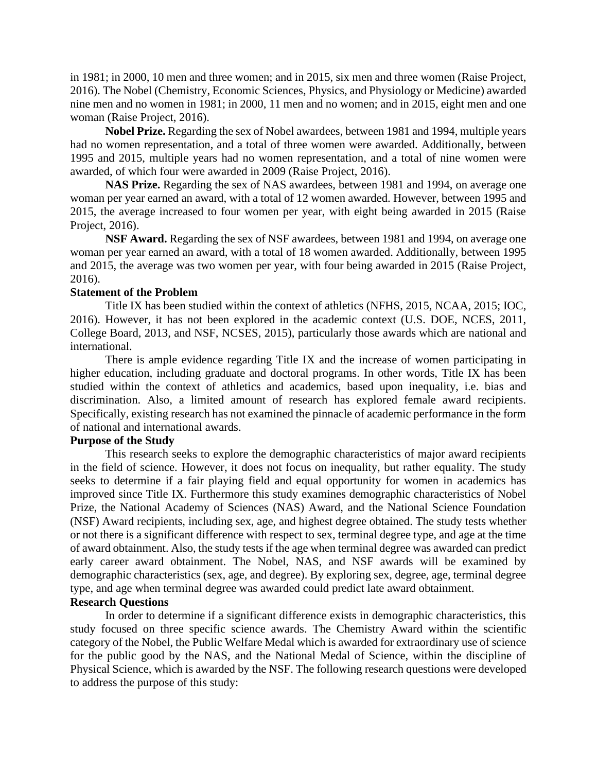in 1981; in 2000, 10 men and three women; and in 2015, six men and three women (Raise Project, 2016). The Nobel (Chemistry, Economic Sciences, Physics, and Physiology or Medicine) awarded nine men and no women in 1981; in 2000, 11 men and no women; and in 2015, eight men and one woman (Raise Project, 2016).

**Nobel Prize.** Regarding the sex of Nobel awardees, between 1981 and 1994, multiple years had no women representation, and a total of three women were awarded. Additionally, between 1995 and 2015, multiple years had no women representation, and a total of nine women were awarded, of which four were awarded in 2009 (Raise Project, 2016).

**NAS Prize.** Regarding the sex of NAS awardees, between 1981 and 1994, on average one woman per year earned an award, with a total of 12 women awarded. However, between 1995 and 2015, the average increased to four women per year, with eight being awarded in 2015 (Raise Project, 2016).

**NSF Award.** Regarding the sex of NSF awardees, between 1981 and 1994, on average one woman per year earned an award, with a total of 18 women awarded. Additionally, between 1995 and 2015, the average was two women per year, with four being awarded in 2015 (Raise Project, 2016).

#### **Statement of the Problem**

Title IX has been studied within the context of athletics (NFHS, 2015, NCAA, 2015; IOC, 2016). However, it has not been explored in the academic context (U.S. DOE, NCES, 2011, College Board, 2013, and NSF, NCSES, 2015), particularly those awards which are national and international.

There is ample evidence regarding Title IX and the increase of women participating in higher education, including graduate and doctoral programs. In other words, Title IX has been studied within the context of athletics and academics, based upon inequality, i.e. bias and discrimination. Also, a limited amount of research has explored female award recipients. Specifically, existing research has not examined the pinnacle of academic performance in the form of national and international awards.

#### **Purpose of the Study**

This research seeks to explore the demographic characteristics of major award recipients in the field of science. However, it does not focus on inequality, but rather equality. The study seeks to determine if a fair playing field and equal opportunity for women in academics has improved since Title IX. Furthermore this study examines demographic characteristics of Nobel Prize, the National Academy of Sciences (NAS) Award, and the National Science Foundation (NSF) Award recipients, including sex, age, and highest degree obtained. The study tests whether or not there is a significant difference with respect to sex, terminal degree type, and age at the time of award obtainment. Also, the study tests if the age when terminal degree was awarded can predict early career award obtainment. The Nobel, NAS, and NSF awards will be examined by demographic characteristics (sex, age, and degree). By exploring sex, degree, age, terminal degree type, and age when terminal degree was awarded could predict late award obtainment.

## **Research Questions**

In order to determine if a significant difference exists in demographic characteristics, this study focused on three specific science awards. The Chemistry Award within the scientific category of the Nobel, the Public Welfare Medal which is awarded for extraordinary use of science for the public good by the NAS, and the National Medal of Science, within the discipline of Physical Science, which is awarded by the NSF. The following research questions were developed to address the purpose of this study: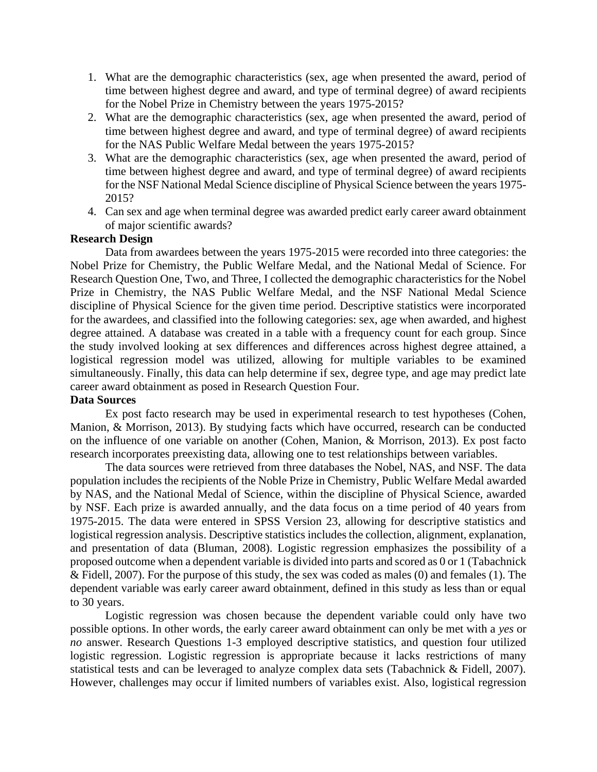- 1. What are the demographic characteristics (sex, age when presented the award, period of time between highest degree and award, and type of terminal degree) of award recipients for the Nobel Prize in Chemistry between the years 1975-2015?
- 2. What are the demographic characteristics (sex, age when presented the award, period of time between highest degree and award, and type of terminal degree) of award recipients for the NAS Public Welfare Medal between the years 1975-2015?
- 3. What are the demographic characteristics (sex, age when presented the award, period of time between highest degree and award, and type of terminal degree) of award recipients for the NSF National Medal Science discipline of Physical Science between the years 1975- 2015?
- 4. Can sex and age when terminal degree was awarded predict early career award obtainment of major scientific awards?

## **Research Design**

Data from awardees between the years 1975-2015 were recorded into three categories: the Nobel Prize for Chemistry, the Public Welfare Medal, and the National Medal of Science. For Research Question One, Two, and Three, I collected the demographic characteristics for the Nobel Prize in Chemistry, the NAS Public Welfare Medal, and the NSF National Medal Science discipline of Physical Science for the given time period. Descriptive statistics were incorporated for the awardees, and classified into the following categories: sex, age when awarded, and highest degree attained. A database was created in a table with a frequency count for each group. Since the study involved looking at sex differences and differences across highest degree attained, a logistical regression model was utilized, allowing for multiple variables to be examined simultaneously. Finally, this data can help determine if sex, degree type, and age may predict late career award obtainment as posed in Research Question Four.

## **Data Sources**

Ex post facto research may be used in experimental research to test hypotheses (Cohen, Manion, & Morrison, 2013). By studying facts which have occurred, research can be conducted on the influence of one variable on another (Cohen, Manion, & Morrison, 2013). Ex post facto research incorporates preexisting data, allowing one to test relationships between variables.

The data sources were retrieved from three databases the Nobel, NAS, and NSF. The data population includes the recipients of the Noble Prize in Chemistry, Public Welfare Medal awarded by NAS, and the National Medal of Science, within the discipline of Physical Science, awarded by NSF. Each prize is awarded annually, and the data focus on a time period of 40 years from 1975-2015. The data were entered in SPSS Version 23, allowing for descriptive statistics and logistical regression analysis. Descriptive statistics includes the collection, alignment, explanation, and presentation of data (Bluman, 2008). Logistic regression emphasizes the possibility of a proposed outcome when a dependent variable is divided into parts and scored as 0 or 1 (Tabachnick & Fidell, 2007). For the purpose of this study, the sex was coded as males (0) and females (1). The dependent variable was early career award obtainment, defined in this study as less than or equal to 30 years.

Logistic regression was chosen because the dependent variable could only have two possible options. In other words, the early career award obtainment can only be met with a *yes* or *no* answer. Research Questions 1-3 employed descriptive statistics, and question four utilized logistic regression. Logistic regression is appropriate because it lacks restrictions of many statistical tests and can be leveraged to analyze complex data sets (Tabachnick & Fidell, 2007). However, challenges may occur if limited numbers of variables exist. Also, logistical regression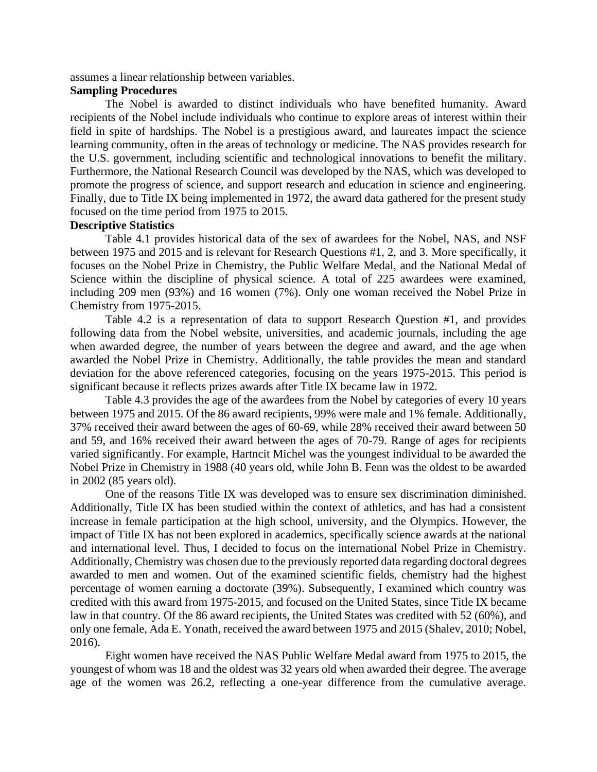assumes a linear relationship between variables.

### **Sampling Procedures**

The Nobel is awarded to distinct individuals who have benefited humanity. Award recipients of the Nobel include individuals who continue to explore areas of interest within their field in spite of hardships. The Nobel is a prestigious award, and laureates impact the science learning community, often in the areas of technology or medicine. The NAS provides research for the U.S. government, including scientific and technological innovations to benefit the military. Furthermore, the National Research Council was developed by the NAS, which was developed to promote the progress of science, and support research and education in science and engineering. Finally, due to Title IX being implemented in 1972, the award data gathered for the present study focused on the time period from 1975 to 2015.

## **Descriptive Statistics**

Table 4.1 provides historical data of the sex of awardees for the Nobel, NAS, and NSF between 1975 and 2015 and is relevant for Research Questions #1, 2, and 3. More specifically, it focuses on the Nobel Prize in Chemistry, the Public Welfare Medal, and the National Medal of Science within the discipline of physical science. A total of 225 awardees were examined, including 209 men (93%) and 16 women (7%). Only one woman received the Nobel Prize in Chemistry from 1975-2015.

Table 4.2 is a representation of data to support Research Question #1, and provides following data from the Nobel website, universities, and academic journals, including the age when awarded degree, the number of years between the degree and award, and the age when awarded the Nobel Prize in Chemistry. Additionally, the table provides the mean and standard deviation for the above referenced categories, focusing on the years 1975-2015. This period is significant because it reflects prizes awards after Title IX became law in 1972.

Table 4.3 provides the age of the awardees from the Nobel by categories of every 10 years between 1975 and 2015. Of the 86 award recipients, 99% were male and 1% female. Additionally, 37% received their award between the ages of 60-69, while 28% received their award between 50 and 59, and 16% received their award between the ages of 70-79. Range of ages for recipients varied significantly. For example, Hartncit Michel was the youngest individual to be awarded the Nobel Prize in Chemistry in 1988 (40 years old, while John B. Fenn was the oldest to be awarded in 2002 (85 years old).

One of the reasons Title IX was developed was to ensure sex discrimination diminished. Additionally, Title IX has been studied within the context of athletics, and has had a consistent increase in female participation at the high school, university, and the Olympics. However, the impact of Title IX has not been explored in academics, specifically science awards at the national and international level. Thus, I decided to focus on the international Nobel Prize in Chemistry. Additionally, Chemistry was chosen due to the previously reported data regarding doctoral degrees awarded to men and women. Out of the examined scientific fields, chemistry had the highest percentage of women earning a doctorate (39%). Subsequently, I examined which country was credited with this award from 1975-2015, and focused on the United States, since Title IX became law in that country. Of the 86 award recipients, the United States was credited with 52 (60%), and only one female, Ada E. Yonath, received the award between 1975 and 2015 (Shalev, 2010; Nobel, 2016).

Eight women have received the NAS Public Welfare Medal award from 1975 to 2015, the youngest of whom was 18 and the oldest was 32 years old when awarded their degree. The average age of the women was 26.2, reflecting a one-year difference from the cumulative average.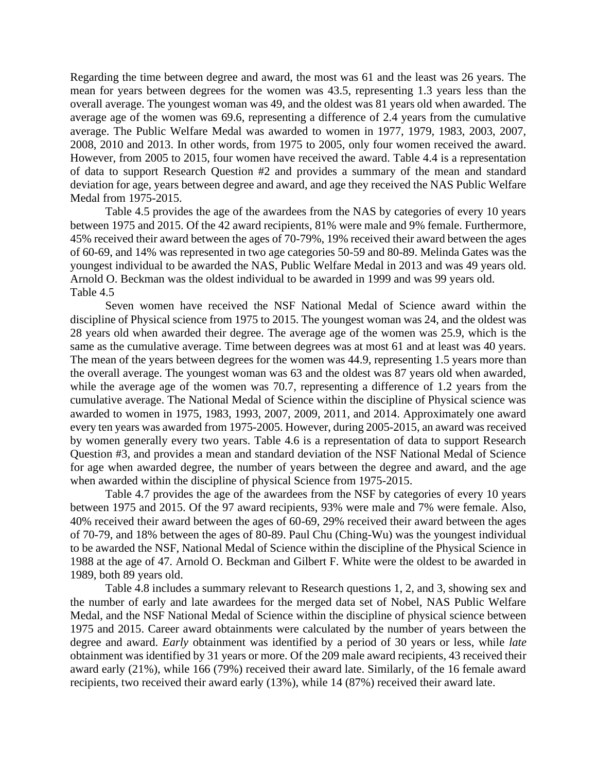Regarding the time between degree and award, the most was 61 and the least was 26 years. The mean for years between degrees for the women was 43.5, representing 1.3 years less than the overall average. The youngest woman was 49, and the oldest was 81 years old when awarded. The average age of the women was 69.6, representing a difference of 2.4 years from the cumulative average. The Public Welfare Medal was awarded to women in 1977, 1979, 1983, 2003, 2007, 2008, 2010 and 2013. In other words, from 1975 to 2005, only four women received the award. However, from 2005 to 2015, four women have received the award. Table 4.4 is a representation of data to support Research Question #2 and provides a summary of the mean and standard deviation for age, years between degree and award, and age they received the NAS Public Welfare Medal from 1975-2015.

Table 4.5 provides the age of the awardees from the NAS by categories of every 10 years between 1975 and 2015. Of the 42 award recipients, 81% were male and 9% female. Furthermore, 45% received their award between the ages of 70-79%, 19% received their award between the ages of 60-69, and 14% was represented in two age categories 50-59 and 80-89. Melinda Gates was the youngest individual to be awarded the NAS, Public Welfare Medal in 2013 and was 49 years old. Arnold O. Beckman was the oldest individual to be awarded in 1999 and was 99 years old. Table 4.5

Seven women have received the NSF National Medal of Science award within the discipline of Physical science from 1975 to 2015. The youngest woman was 24, and the oldest was 28 years old when awarded their degree. The average age of the women was 25.9, which is the same as the cumulative average. Time between degrees was at most 61 and at least was 40 years. The mean of the years between degrees for the women was 44.9, representing 1.5 years more than the overall average. The youngest woman was 63 and the oldest was 87 years old when awarded, while the average age of the women was 70.7, representing a difference of 1.2 years from the cumulative average. The National Medal of Science within the discipline of Physical science was awarded to women in 1975, 1983, 1993, 2007, 2009, 2011, and 2014. Approximately one award every ten years was awarded from 1975-2005. However, during 2005-2015, an award was received by women generally every two years. Table 4.6 is a representation of data to support Research Question #3, and provides a mean and standard deviation of the NSF National Medal of Science for age when awarded degree, the number of years between the degree and award, and the age when awarded within the discipline of physical Science from 1975-2015.

Table 4.7 provides the age of the awardees from the NSF by categories of every 10 years between 1975 and 2015. Of the 97 award recipients, 93% were male and 7% were female. Also, 40% received their award between the ages of 60-69, 29% received their award between the ages of 70-79, and 18% between the ages of 80-89. Paul Chu (Ching-Wu) was the youngest individual to be awarded the NSF, National Medal of Science within the discipline of the Physical Science in 1988 at the age of 47. Arnold O. Beckman and Gilbert F. White were the oldest to be awarded in 1989, both 89 years old.

Table 4.8 includes a summary relevant to Research questions 1, 2, and 3, showing sex and the number of early and late awardees for the merged data set of Nobel, NAS Public Welfare Medal, and the NSF National Medal of Science within the discipline of physical science between 1975 and 2015. Career award obtainments were calculated by the number of years between the degree and award. *Early* obtainment was identified by a period of 30 years or less, while *late* obtainment was identified by 31 years or more. Of the 209 male award recipients, 43 received their award early (21%), while 166 (79%) received their award late. Similarly, of the 16 female award recipients, two received their award early (13%), while 14 (87%) received their award late.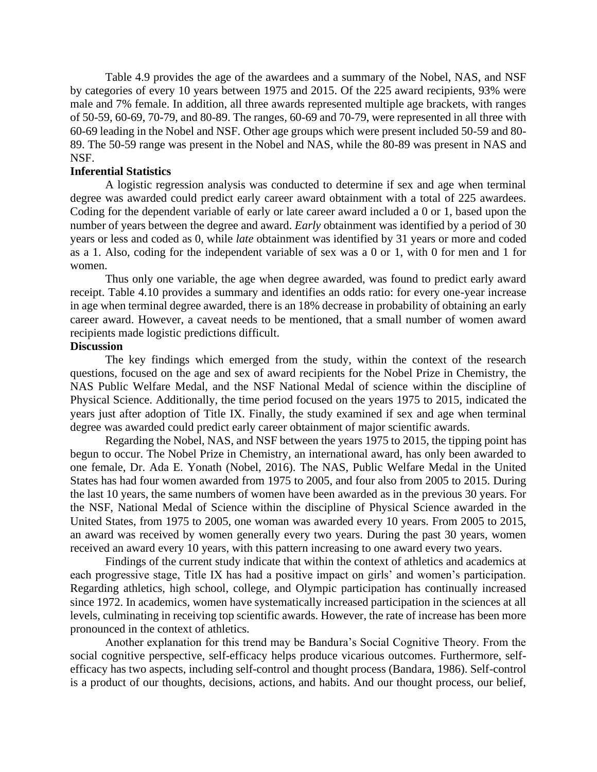Table 4.9 provides the age of the awardees and a summary of the Nobel, NAS, and NSF by categories of every 10 years between 1975 and 2015. Of the 225 award recipients, 93% were male and 7% female. In addition, all three awards represented multiple age brackets, with ranges of 50-59, 60-69, 70-79, and 80-89. The ranges, 60-69 and 70-79, were represented in all three with 60-69 leading in the Nobel and NSF. Other age groups which were present included 50-59 and 80- 89. The 50-59 range was present in the Nobel and NAS, while the 80-89 was present in NAS and NSF.

#### **Inferential Statistics**

A logistic regression analysis was conducted to determine if sex and age when terminal degree was awarded could predict early career award obtainment with a total of 225 awardees. Coding for the dependent variable of early or late career award included a 0 or 1, based upon the number of years between the degree and award. *Early* obtainment was identified by a period of 30 years or less and coded as 0, while *late* obtainment was identified by 31 years or more and coded as a 1. Also, coding for the independent variable of sex was a 0 or 1, with 0 for men and 1 for women.

Thus only one variable, the age when degree awarded, was found to predict early award receipt. Table 4.10 provides a summary and identifies an odds ratio: for every one-year increase in age when terminal degree awarded, there is an 18% decrease in probability of obtaining an early career award. However, a caveat needs to be mentioned, that a small number of women award recipients made logistic predictions difficult.

#### **Discussion**

The key findings which emerged from the study, within the context of the research questions, focused on the age and sex of award recipients for the Nobel Prize in Chemistry, the NAS Public Welfare Medal, and the NSF National Medal of science within the discipline of Physical Science. Additionally, the time period focused on the years 1975 to 2015, indicated the years just after adoption of Title IX. Finally, the study examined if sex and age when terminal degree was awarded could predict early career obtainment of major scientific awards.

Regarding the Nobel, NAS, and NSF between the years 1975 to 2015, the tipping point has begun to occur. The Nobel Prize in Chemistry, an international award, has only been awarded to one female, Dr. Ada E. Yonath (Nobel, 2016). The NAS, Public Welfare Medal in the United States has had four women awarded from 1975 to 2005, and four also from 2005 to 2015. During the last 10 years, the same numbers of women have been awarded as in the previous 30 years. For the NSF, National Medal of Science within the discipline of Physical Science awarded in the United States, from 1975 to 2005, one woman was awarded every 10 years. From 2005 to 2015, an award was received by women generally every two years. During the past 30 years, women received an award every 10 years, with this pattern increasing to one award every two years.

Findings of the current study indicate that within the context of athletics and academics at each progressive stage, Title IX has had a positive impact on girls' and women's participation. Regarding athletics, high school, college, and Olympic participation has continually increased since 1972. In academics, women have systematically increased participation in the sciences at all levels, culminating in receiving top scientific awards. However, the rate of increase has been more pronounced in the context of athletics.

Another explanation for this trend may be Bandura's Social Cognitive Theory. From the social cognitive perspective, self-efficacy helps produce vicarious outcomes. Furthermore, selfefficacy has two aspects, including self-control and thought process (Bandara, 1986). Self-control is a product of our thoughts, decisions, actions, and habits. And our thought process, our belief,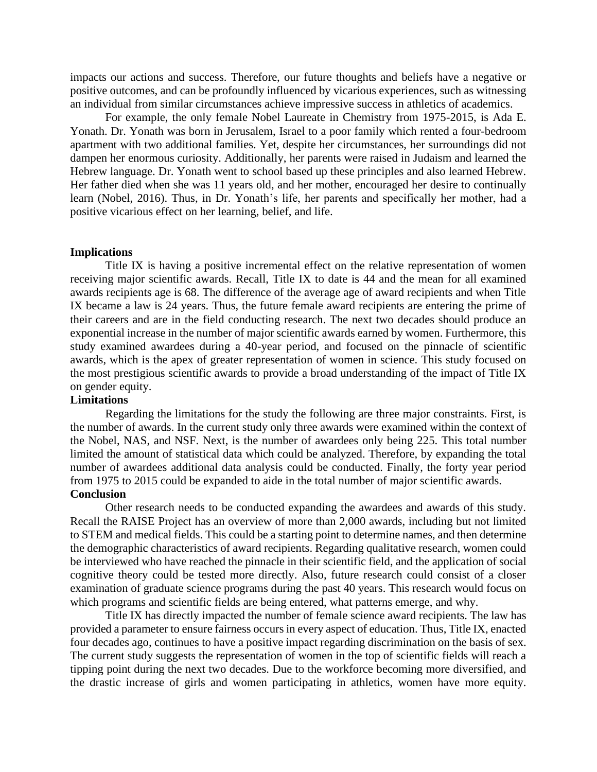impacts our actions and success. Therefore, our future thoughts and beliefs have a negative or positive outcomes, and can be profoundly influenced by vicarious experiences, such as witnessing an individual from similar circumstances achieve impressive success in athletics of academics.

For example, the only female Nobel Laureate in Chemistry from 1975-2015, is Ada E. Yonath. Dr. Yonath was born in Jerusalem, Israel to a poor family which rented a four-bedroom apartment with two additional families. Yet, despite her circumstances, her surroundings did not dampen her enormous curiosity. Additionally, her parents were raised in Judaism and learned the Hebrew language. Dr. Yonath went to school based up these principles and also learned Hebrew. Her father died when she was 11 years old, and her mother, encouraged her desire to continually learn (Nobel, 2016). Thus, in Dr. Yonath's life, her parents and specifically her mother, had a positive vicarious effect on her learning, belief, and life.

#### **Implications**

Title IX is having a positive incremental effect on the relative representation of women receiving major scientific awards. Recall, Title IX to date is 44 and the mean for all examined awards recipients age is 68. The difference of the average age of award recipients and when Title IX became a law is 24 years. Thus, the future female award recipients are entering the prime of their careers and are in the field conducting research. The next two decades should produce an exponential increase in the number of major scientific awards earned by women. Furthermore, this study examined awardees during a 40-year period, and focused on the pinnacle of scientific awards, which is the apex of greater representation of women in science. This study focused on the most prestigious scientific awards to provide a broad understanding of the impact of Title IX on gender equity.

## **Limitations**

Regarding the limitations for the study the following are three major constraints. First, is the number of awards. In the current study only three awards were examined within the context of the Nobel, NAS, and NSF. Next, is the number of awardees only being 225. This total number limited the amount of statistical data which could be analyzed. Therefore, by expanding the total number of awardees additional data analysis could be conducted. Finally, the forty year period from 1975 to 2015 could be expanded to aide in the total number of major scientific awards.

# **Conclusion**

Other research needs to be conducted expanding the awardees and awards of this study. Recall the RAISE Project has an overview of more than 2,000 awards, including but not limited to STEM and medical fields. This could be a starting point to determine names, and then determine the demographic characteristics of award recipients. Regarding qualitative research, women could be interviewed who have reached the pinnacle in their scientific field, and the application of social cognitive theory could be tested more directly. Also, future research could consist of a closer examination of graduate science programs during the past 40 years. This research would focus on which programs and scientific fields are being entered, what patterns emerge, and why.

Title IX has directly impacted the number of female science award recipients. The law has provided a parameter to ensure fairness occurs in every aspect of education. Thus, Title IX, enacted four decades ago, continues to have a positive impact regarding discrimination on the basis of sex. The current study suggests the representation of women in the top of scientific fields will reach a tipping point during the next two decades. Due to the workforce becoming more diversified, and the drastic increase of girls and women participating in athletics, women have more equity.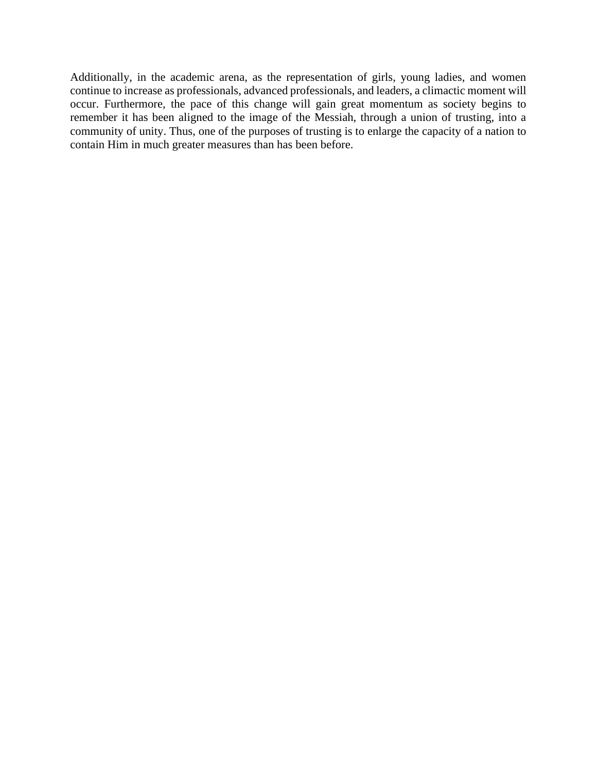Additionally, in the academic arena, as the representation of girls, young ladies, and women continue to increase as professionals, advanced professionals, and leaders, a climactic moment will occur. Furthermore, the pace of this change will gain great momentum as society begins to remember it has been aligned to the image of the Messiah, through a union of trusting, into a community of unity. Thus, one of the purposes of trusting is to enlarge the capacity of a nation to contain Him in much greater measures than has been before.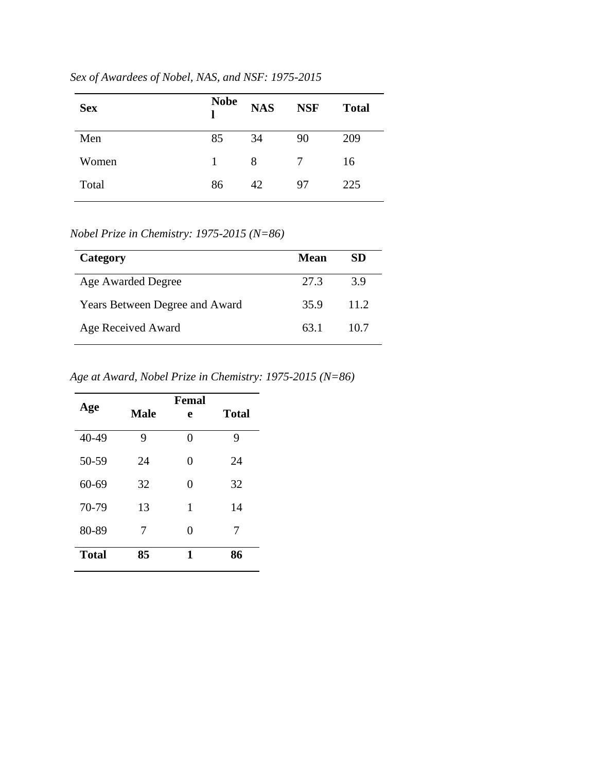| <b>Sex</b> | <b>Nobe</b> | <b>NAS</b> | <b>NSF</b> | <b>Total</b> |
|------------|-------------|------------|------------|--------------|
| Men        | 85          | 34         | 90         | 209          |
| Women      | 1           | 8          |            | 16           |
| Total      | 86          | 42         | 97         | 225          |

*Sex of Awardees of Nobel, NAS, and NSF: 1975-2015* 

*Nobel Prize in Chemistry: 1975-2015 (N=86)*

| Category                              | Mean | SD   |
|---------------------------------------|------|------|
| Age Awarded Degree                    | 27.3 | 3.9  |
| <b>Years Between Degree and Award</b> | 35.9 | 11.2 |
| Age Received Award                    | 63.1 | 10.7 |

*Age at Award, Nobel Prize in Chemistry: 1975-2015 (N=86)*

|              |             | Femal    |              |
|--------------|-------------|----------|--------------|
| Age          | <b>Male</b> | e        | <b>Total</b> |
| 40-49        | 9           | 0        | 9            |
| 50-59        | 24          | $\theta$ | 24           |
| $60 - 69$    | 32          | $\theta$ | 32           |
| 70-79        | 13          | 1        | 14           |
| 80-89        | 7           | $\theta$ | 7            |
| <b>Total</b> | 85          | 1        | 86           |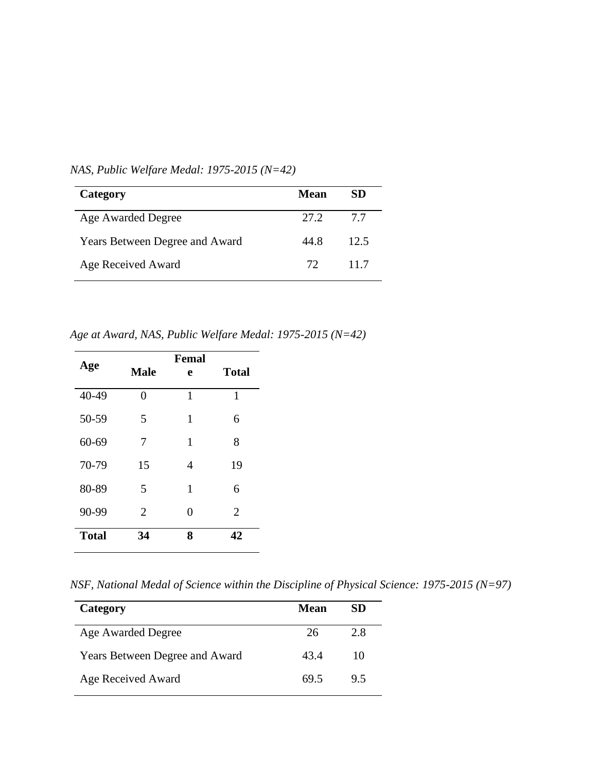| Category                              | Mean | SD   |
|---------------------------------------|------|------|
| Age Awarded Degree                    | 27.2 | 7.7  |
| <b>Years Between Degree and Award</b> | 44.8 | 12.5 |
| Age Received Award                    | 72.  | 117  |

*NAS, Public Welfare Medal: 1975-2015 (N=42)*

*Age at Award, NAS, Public Welfare Medal: 1975-2015 (N=42)*

|              |                | Femal |                |
|--------------|----------------|-------|----------------|
| Age          | <b>Male</b>    | e     | <b>Total</b>   |
| 40-49        | $\theta$       | 1     | 1              |
| 50-59        | 5              | 1     | 6              |
| $60 - 69$    | 7              | 1     | 8              |
| 70-79        | 15             | 4     | 19             |
| 80-89        | 5              | 1     | 6              |
| 90-99        | $\overline{2}$ | 0     | $\overline{2}$ |
| <b>Total</b> | 34             | 8     | 42             |

*NSF, National Medal of Science within the Discipline of Physical Science: 1975-2015 (N=97)*

| Category                       | Mean | SD  |
|--------------------------------|------|-----|
| Age Awarded Degree             | 26   | 2.8 |
| Years Between Degree and Award | 43.4 | 10  |
| Age Received Award             | 69.5 | 9.5 |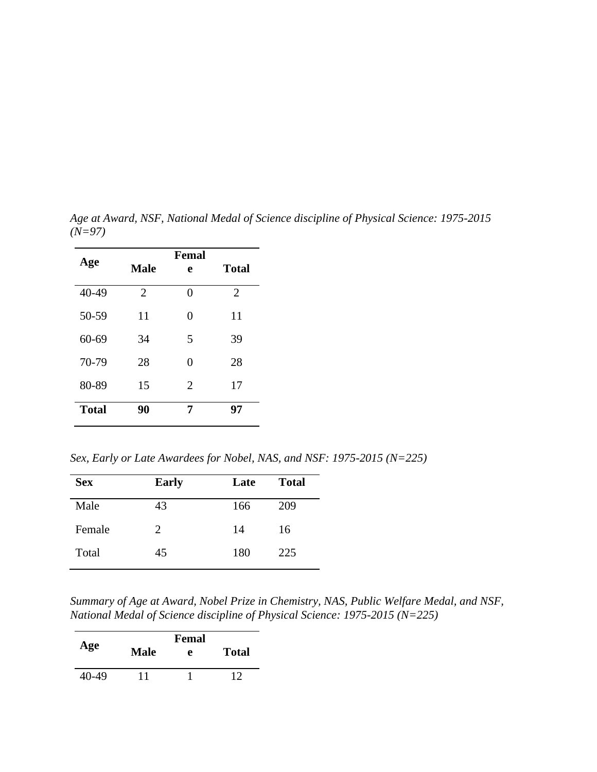|              | Femal          |          |                |  |  |
|--------------|----------------|----------|----------------|--|--|
| Age          | <b>Male</b>    | e        | <b>Total</b>   |  |  |
| 40-49        | $\overline{2}$ | $\theta$ | $\overline{2}$ |  |  |
| 50-59        | 11             | 0        | 11             |  |  |
| $60 - 69$    | 34             | 5        | 39             |  |  |
| 70-79        | 28             | 0        | 28             |  |  |
| 80-89        | 15             | 2        | 17             |  |  |
| <b>Total</b> | 90             | 7        | 97             |  |  |

*Age at Award, NSF, National Medal of Science discipline of Physical Science: 1975-2015 (N=97)*

*Sex, Early or Late Awardees for Nobel, NAS, and NSF: 1975-2015 (N=225)*

| <b>Sex</b> | <b>Early</b> | Late | <b>Total</b> |
|------------|--------------|------|--------------|
| Male       | 43           | 166  | 209          |
| Female     | 2            | 14   | 16           |
| Total      | 45           | 180  | 225          |

*Summary of Age at Award, Nobel Prize in Chemistry, NAS, Public Welfare Medal, and NSF, National Medal of Science discipline of Physical Science: 1975-2015 (N=225)*

| Age   | <b>Male</b> | Femal<br>e | <b>Total</b> |
|-------|-------------|------------|--------------|
| 40-49 | 11          |            | 12           |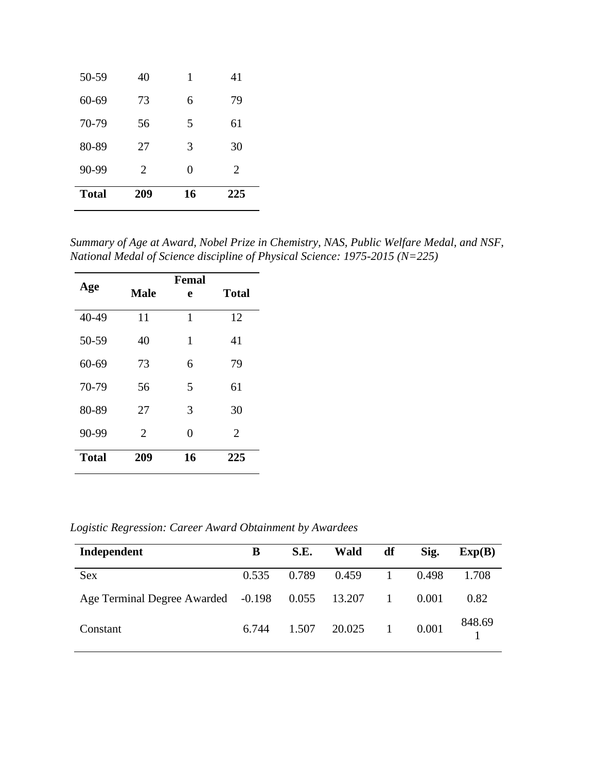| <b>Total</b> | 209 | 16 | 225 |
|--------------|-----|----|-----|
| 90-99        | 2   | 0  | 2   |
| 80-89        | 27  | 3  | 30  |
| 70-79        | 56  | 5  | 61  |
| $60 - 69$    | 73  | 6  | 79  |
| 50-59        | 40  | 1  | 41  |

*Summary of Age at Award, Nobel Prize in Chemistry, NAS, Public Welfare Medal, and NSF, National Medal of Science discipline of Physical Science: 1975-2015 (N=225)*

| Age          | <b>Male</b>    | Femal<br>e | <b>Total</b> |
|--------------|----------------|------------|--------------|
| 40-49        | 11             | 1          | 12           |
| 50-59        | 40             | 1          | 41           |
| $60 - 69$    | 73             | 6          | 79           |
| 70-79        | 56             | 5          | 61           |
| 80-89        | 27             | 3          | 30           |
| 90-99        | $\overline{2}$ | 0          | 2            |
| <b>Total</b> | 209            | 16         | 225          |

*Logistic Regression: Career Award Obtainment by Awardees* 

| Independent                        | B     | S.E.  | <b>Wald</b>        | df             | Sig.  | Exp(B) |
|------------------------------------|-------|-------|--------------------|----------------|-------|--------|
| <b>Sex</b>                         | 0.535 | 0.789 | 0.459              |                | 0.498 | 1.708  |
| Age Terminal Degree Awarded -0.198 |       |       | 0.055 13.207       | $\overline{1}$ | 0.001 | 0.82   |
| Constant                           | 6.744 |       | $1.507$ $20.025$ 1 |                | 0.001 | 848.69 |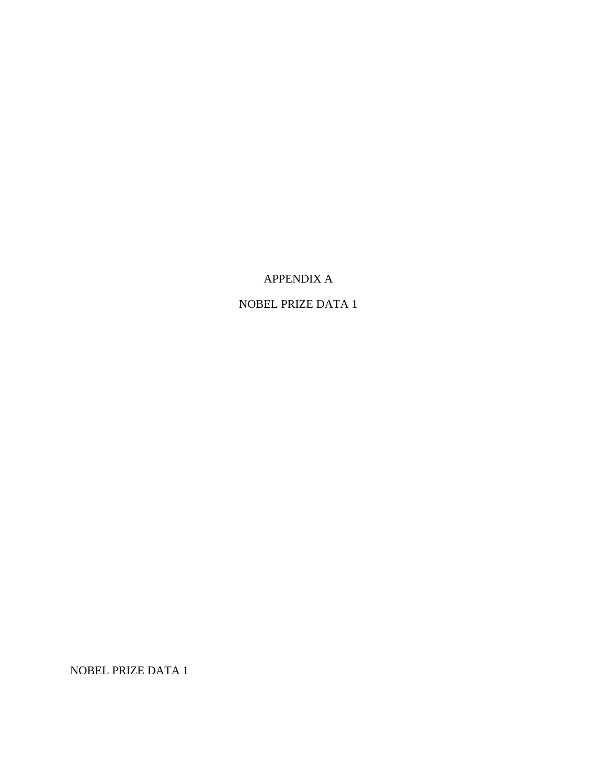# APPENDIX A

# NOBEL PRIZE DATA 1

NOBEL PRIZE DATA 1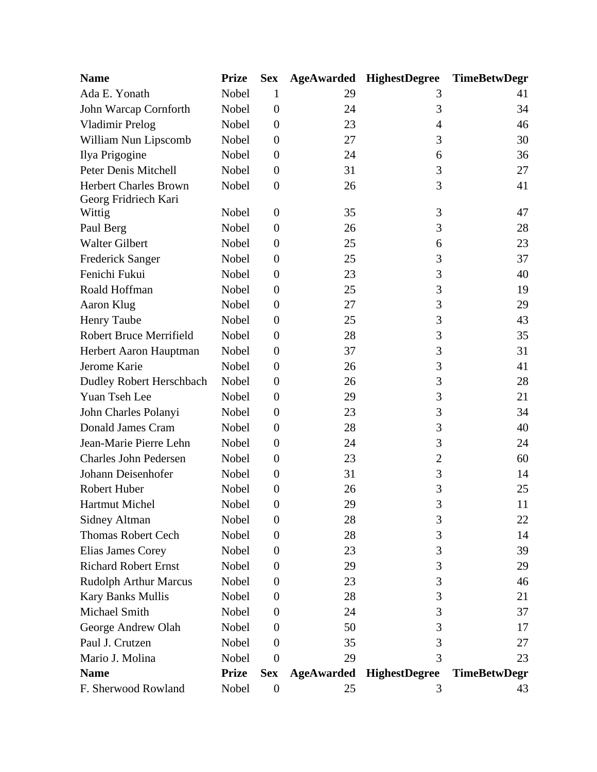| <b>Name</b>                    | <b>Prize</b> | <b>Sex</b>       |                   | <b>AgeAwarded HighestDegree</b> | <b>TimeBetwDegr</b> |
|--------------------------------|--------------|------------------|-------------------|---------------------------------|---------------------|
| Ada E. Yonath                  | Nobel        | 1                | 29                | 3                               | 41                  |
| John Warcap Cornforth          | Nobel        | $\overline{0}$   | 24                | 3                               | 34                  |
| <b>Vladimir Prelog</b>         | Nobel        | $\boldsymbol{0}$ | 23                | 4                               | 46                  |
| William Nun Lipscomb           | Nobel        | $\boldsymbol{0}$ | 27                | 3                               | 30                  |
| Ilya Prigogine                 | Nobel        | $\theta$         | 24                | 6                               | 36                  |
| Peter Denis Mitchell           | Nobel        | $\boldsymbol{0}$ | 31                | 3                               | 27                  |
| <b>Herbert Charles Brown</b>   | Nobel        | $\boldsymbol{0}$ | 26                | 3                               | 41                  |
| Georg Fridriech Kari           |              |                  |                   |                                 |                     |
| Wittig                         | Nobel        | $\theta$         | 35                | 3                               | 47                  |
| Paul Berg                      | Nobel        | $\theta$         | 26                | 3                               | 28                  |
| <b>Walter Gilbert</b>          | Nobel        | $\overline{0}$   | 25                | 6                               | 23                  |
| <b>Frederick Sanger</b>        | Nobel        | $\boldsymbol{0}$ | 25                | 3                               | 37                  |
| Fenichi Fukui                  | Nobel        | $\overline{0}$   | 23                | 3                               | 40                  |
| Roald Hoffman                  | Nobel        | $\boldsymbol{0}$ | 25                | 3                               | 19                  |
| Aaron Klug                     | Nobel        | $\boldsymbol{0}$ | 27                | 3                               | 29                  |
| <b>Henry Taube</b>             | Nobel        | $\boldsymbol{0}$ | 25                | 3                               | 43                  |
| <b>Robert Bruce Merrifield</b> | Nobel        | $\boldsymbol{0}$ | 28                | 3                               | 35                  |
| Herbert Aaron Hauptman         | Nobel        | $\boldsymbol{0}$ | 37                | 3                               | 31                  |
| Jerome Karie                   | Nobel        | $\overline{0}$   | 26                | 3                               | 41                  |
| Dudley Robert Herschbach       | Nobel        | $\boldsymbol{0}$ | 26                | 3                               | 28                  |
| Yuan Tseh Lee                  | Nobel        | $\boldsymbol{0}$ | 29                | 3                               | 21                  |
| John Charles Polanyi           | Nobel        | $\boldsymbol{0}$ | 23                | 3                               | 34                  |
| Donald James Cram              | Nobel        | $\boldsymbol{0}$ | 28                | 3                               | 40                  |
| Jean-Marie Pierre Lehn         | Nobel        | $\boldsymbol{0}$ | 24                | 3                               | 24                  |
| <b>Charles John Pedersen</b>   | Nobel        | $\overline{0}$   | 23                | $\overline{c}$                  | 60                  |
| Johann Deisenhofer             | Nobel        | $\boldsymbol{0}$ | 31                | 3                               | 14                  |
| Robert Huber                   | Nobel        | $\boldsymbol{0}$ | 26                | 3                               | 25                  |
| <b>Hartmut Michel</b>          | Nobel        | $\boldsymbol{0}$ | 29                | 3                               | 11                  |
| <b>Sidney Altman</b>           | Nobel        | $\boldsymbol{0}$ | 28                | 3                               | 22                  |
| <b>Thomas Robert Cech</b>      | Nobel        | $\theta$         | 28                | 3                               | 14                  |
| Elias James Corey              | Nobel        | $\overline{0}$   | 23                | 3                               | 39                  |
| <b>Richard Robert Ernst</b>    | Nobel        | $\overline{0}$   | 29                | 3                               | 29                  |
| <b>Rudolph Arthur Marcus</b>   | Nobel        | $\theta$         | 23                | 3                               | 46                  |
| Kary Banks Mullis              | Nobel        | $\overline{0}$   | 28                | 3                               | 21                  |
| Michael Smith                  | Nobel        | $\overline{0}$   | 24                | 3                               | 37                  |
| George Andrew Olah             | Nobel        | $\overline{0}$   | 50                | 3                               | 17                  |
| Paul J. Crutzen                | Nobel        | $\theta$         | 35                | 3                               | 27                  |
| Mario J. Molina                | Nobel        | $\theta$         | 29                | 3                               | 23                  |
| <b>Name</b>                    | <b>Prize</b> | <b>Sex</b>       | <b>AgeAwarded</b> | <b>HighestDegree</b>            | <b>TimeBetwDegr</b> |
| F. Sherwood Rowland            | Nobel        | $\boldsymbol{0}$ | 25                | 3                               | 43                  |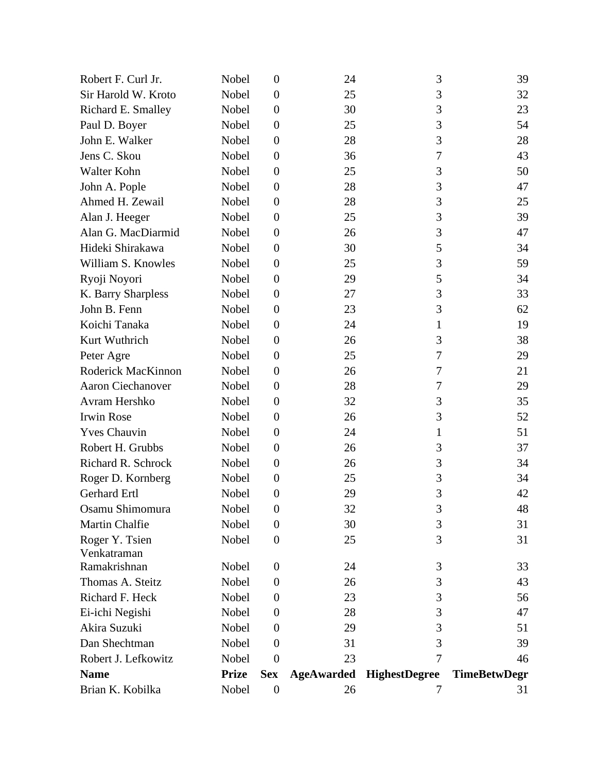| Brian K. Kobilka    | Nobel        | $\boldsymbol{0}$ | 26                | 7                    | 31                  |
|---------------------|--------------|------------------|-------------------|----------------------|---------------------|
| <b>Name</b>         | <b>Prize</b> | <b>Sex</b>       | <b>AgeAwarded</b> | <b>HighestDegree</b> | <b>TimeBetwDegr</b> |
| Robert J. Lefkowitz | Nobel        | $\overline{0}$   | 23                | 7                    | 46                  |
| Dan Shechtman       | Nobel        | $\overline{0}$   | 31                | 3                    | 39                  |
| Akira Suzuki        | Nobel        | $\overline{0}$   | 29                | 3                    | 51                  |
| Ei-ichi Negishi     | Nobel        | $\boldsymbol{0}$ | 28                | 3                    | 47                  |
| Richard F. Heck     | Nobel        | $\overline{0}$   | 23                | 3                    | 56                  |
| Thomas A. Steitz    | Nobel        | $\overline{0}$   | 26                | 3                    | 43                  |
| Ramakrishnan        | Nobel        | $\boldsymbol{0}$ | 24                | 3                    | 33                  |
| Venkatraman         |              |                  |                   |                      |                     |
| Roger Y. Tsien      | Nobel        | $\overline{0}$   | 25                | 3                    | 31                  |
| Martin Chalfie      | Nobel        | $\boldsymbol{0}$ | 30                | 3                    | 31                  |
| Osamu Shimomura     | Nobel        | $\boldsymbol{0}$ | 32                | 3                    | 48                  |
| Gerhard Ertl        | Nobel        | $\overline{0}$   | 29                | 3                    | 42                  |
| Roger D. Kornberg   | Nobel        | $\overline{0}$   | 25                | 3                    | 34                  |
| Richard R. Schrock  | Nobel        | $\boldsymbol{0}$ | 26                | 3                    | 34                  |
| Robert H. Grubbs    | Nobel        | $\boldsymbol{0}$ | 26                | 3                    | 37                  |
| <b>Yves Chauvin</b> | Nobel        | $\boldsymbol{0}$ | 24                | 1                    | 51                  |
| <b>Irwin Rose</b>   | Nobel        | $\boldsymbol{0}$ | 26                | 3                    | 52                  |
| Avram Hershko       | Nobel        | $\boldsymbol{0}$ | 32                | 3                    | 35                  |
| Aaron Ciechanover   | Nobel        | $\boldsymbol{0}$ | 28                | 7                    | 29                  |
| Roderick MacKinnon  | Nobel        | $\boldsymbol{0}$ | 26                | 7                    | 21                  |
| Peter Agre          | Nobel        | $\boldsymbol{0}$ | 25                | 7                    | 29                  |
| Kurt Wuthrich       | Nobel        | $\boldsymbol{0}$ | 26                | 3                    | 38                  |
| Koichi Tanaka       | Nobel        | $\boldsymbol{0}$ | 24                | 1                    | 19                  |
| John B. Fenn        | Nobel        | $\boldsymbol{0}$ | 23                | 3                    | 62                  |
| K. Barry Sharpless  | Nobel        | $\boldsymbol{0}$ | 27                | 3                    | 33                  |
| Ryoji Noyori        | Nobel        | $\boldsymbol{0}$ | 29                | 5                    | 34                  |
| William S. Knowles  | Nobel        | $\boldsymbol{0}$ | 25                | 3                    | 59                  |
| Hideki Shirakawa    | Nobel        | $\boldsymbol{0}$ | 30                | 5                    | 34                  |
| Alan G. MacDiarmid  | Nobel        | $\boldsymbol{0}$ | 26                | 3                    | 47                  |
| Alan J. Heeger      | Nobel        | $\boldsymbol{0}$ | 25                | 3                    | 39                  |
| Ahmed H. Zewail     | Nobel        | $\boldsymbol{0}$ | 28                | 3                    | 25                  |
| John A. Pople       | Nobel        | $\boldsymbol{0}$ | 28                | 3                    | 47                  |
| Walter Kohn         | Nobel        | $\boldsymbol{0}$ | 25                | 3                    | 50                  |
| Jens C. Skou        | Nobel        | $\boldsymbol{0}$ | 36                | 7                    | 43                  |
| John E. Walker      | Nobel        | $\boldsymbol{0}$ | 28                | 3                    | 28                  |
| Paul D. Boyer       | Nobel        | $\boldsymbol{0}$ | 25                | 3                    | 54                  |
| Richard E. Smalley  | Nobel        | $\boldsymbol{0}$ | 30                | 3                    | 23                  |
| Sir Harold W. Kroto | Nobel        | $\boldsymbol{0}$ | 25                | 3                    | 32                  |
| Robert F. Curl Jr.  | Nobel        | $\overline{0}$   | 24                | 3                    | 39                  |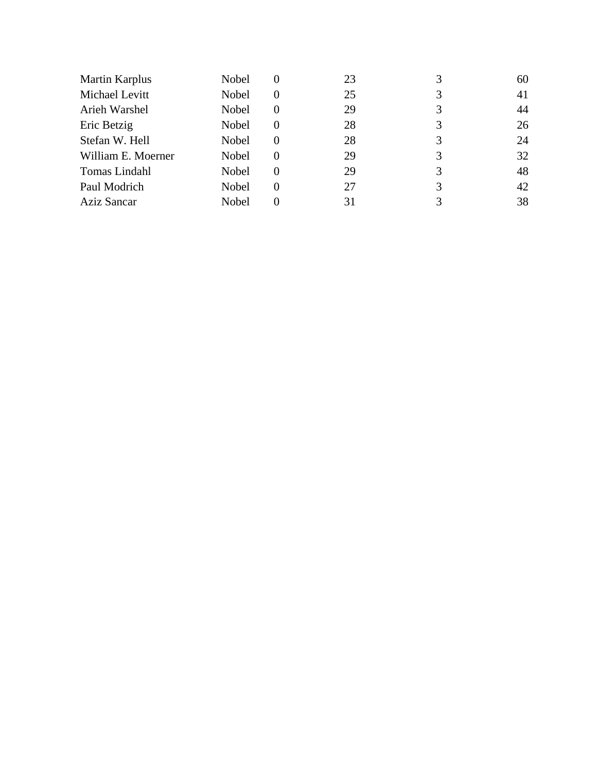| <b>Martin Karplus</b> | Nobel        | O              | 23 |   | 60 |
|-----------------------|--------------|----------------|----|---|----|
| Michael Levitt        | Nobel        | $\theta$       | 25 |   | 41 |
| Arieh Warshel         | Nobel        | 0              | 29 |   | 44 |
| Eric Betzig           | Nobel        | 0              | 28 | 3 | 26 |
| Stefan W. Hell        | Nobel        | 0              | 28 | 3 | 24 |
| William E. Moerner    | <b>Nobel</b> | $\overline{0}$ | 29 | 3 | 32 |
| Tomas Lindahl         | Nobel        | 0              | 29 | 3 | 48 |
| Paul Modrich          | Nobel        | 0              | 27 |   | 42 |
| <b>Aziz Sancar</b>    | Nobel        |                | 31 |   | 38 |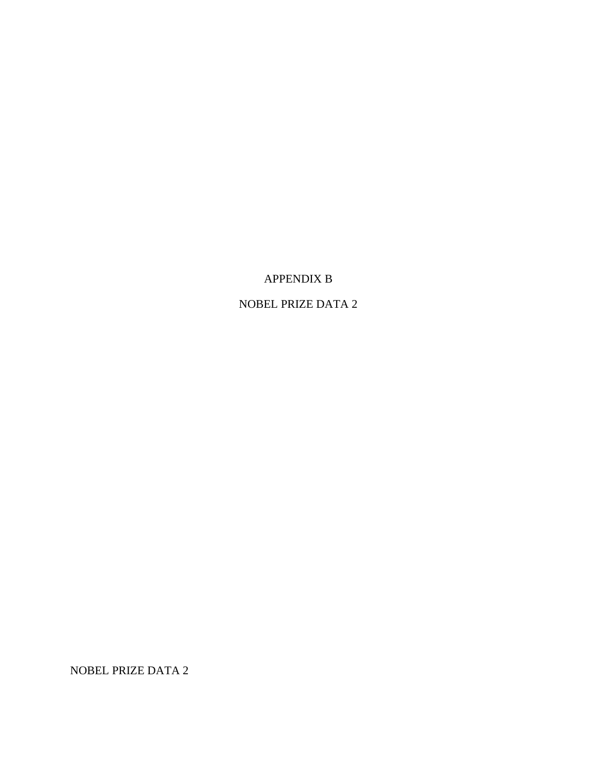## APPENDIX B

# NOBEL PRIZE DATA 2

NOBEL PRIZE DATA 2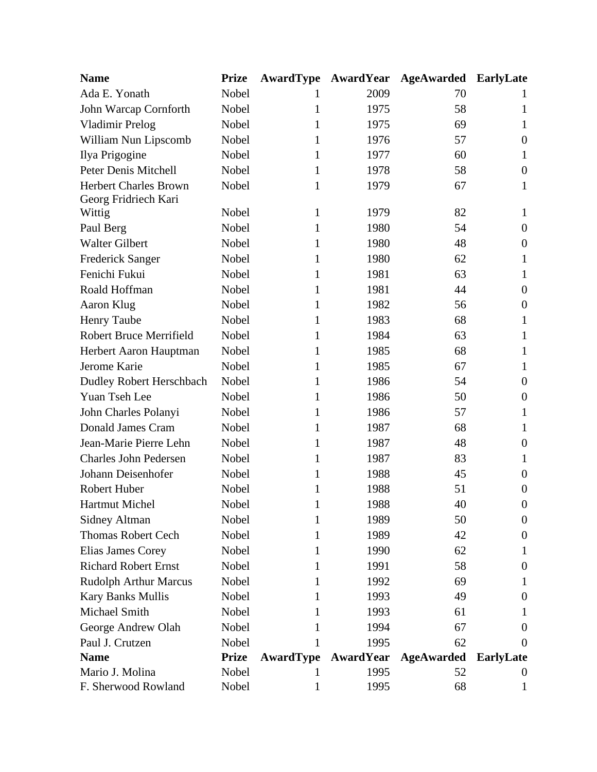| <b>Name</b>                    | <b>Prize</b> |              | <b>AwardType AwardYear</b> | AgeAwarded        | EarlyLate        |
|--------------------------------|--------------|--------------|----------------------------|-------------------|------------------|
| Ada E. Yonath                  | Nobel        |              | 2009                       | 70                |                  |
| John Warcap Cornforth          | Nobel        | 1            | 1975                       | 58                | 1                |
| <b>Vladimir Prelog</b>         | Nobel        | 1            | 1975                       | 69                | 1                |
| William Nun Lipscomb           | Nobel        | 1            | 1976                       | 57                | $\boldsymbol{0}$ |
| Ilya Prigogine                 | Nobel        | 1            | 1977                       | 60                | 1                |
| Peter Denis Mitchell           | Nobel        | 1            | 1978                       | 58                | $\theta$         |
| <b>Herbert Charles Brown</b>   | Nobel        | $\mathbf{1}$ | 1979                       | 67                | $\mathbf{1}$     |
| Georg Fridriech Kari           |              |              |                            |                   |                  |
| Wittig                         | Nobel        | 1            | 1979                       | 82                | 1                |
| Paul Berg                      | Nobel        | 1            | 1980                       | 54                | $\theta$         |
| <b>Walter Gilbert</b>          | Nobel        | 1            | 1980                       | 48                | $\boldsymbol{0}$ |
| <b>Frederick Sanger</b>        | Nobel        | 1            | 1980                       | 62                | 1                |
| Fenichi Fukui                  | Nobel        | 1            | 1981                       | 63                | 1                |
| Roald Hoffman                  | Nobel        | 1            | 1981                       | 44                | $\theta$         |
| Aaron Klug                     | Nobel        | 1            | 1982                       | 56                | $\overline{0}$   |
| <b>Henry Taube</b>             | Nobel        | 1            | 1983                       | 68                | 1                |
| <b>Robert Bruce Merrifield</b> | Nobel        | 1            | 1984                       | 63                | 1                |
| Herbert Aaron Hauptman         | Nobel        | 1            | 1985                       | 68                | 1                |
| Jerome Karie                   | Nobel        | 1            | 1985                       | 67                | $\mathbf{1}$     |
| Dudley Robert Herschbach       | Nobel        | 1            | 1986                       | 54                | $\boldsymbol{0}$ |
| Yuan Tseh Lee                  | Nobel        | 1            | 1986                       | 50                | $\boldsymbol{0}$ |
| John Charles Polanyi           | Nobel        | 1            | 1986                       | 57                | 1                |
| <b>Donald James Cram</b>       | Nobel        | 1            | 1987                       | 68                | 1                |
| Jean-Marie Pierre Lehn         | Nobel        | 1            | 1987                       | 48                | $\boldsymbol{0}$ |
| <b>Charles John Pedersen</b>   | Nobel        | 1            | 1987                       | 83                | 1                |
| Johann Deisenhofer             | Nobel        | 1            | 1988                       | 45                | $\overline{0}$   |
| Robert Huber                   | Nobel        | 1            | 1988                       | 51                | $\boldsymbol{0}$ |
| <b>Hartmut Michel</b>          | Nobel        |              | 1988                       | 40                | $\theta$         |
| <b>Sidney Altman</b>           | Nobel        | 1            | 1989                       | 50                | $\boldsymbol{0}$ |
| <b>Thomas Robert Cech</b>      | Nobel        |              | 1989                       | 42                | $\theta$         |
| Elias James Corey              | Nobel        |              | 1990                       | 62                |                  |
| <b>Richard Robert Ernst</b>    | Nobel        | 1            | 1991                       | 58                | $\boldsymbol{0}$ |
| <b>Rudolph Arthur Marcus</b>   | Nobel        |              | 1992                       | 69                | $\mathbf{I}$     |
| Kary Banks Mullis              | Nobel        |              | 1993                       | 49                | $\overline{0}$   |
| Michael Smith                  | Nobel        |              | 1993                       | 61                | 1                |
| George Andrew Olah             | Nobel        |              | 1994                       | 67                | $\Omega$         |
| Paul J. Crutzen                | Nobel        |              | 1995                       | 62                | $\Omega$         |
| <b>Name</b>                    | <b>Prize</b> | AwardType    | AwardYear                  | <b>AgeAwarded</b> | <b>EarlyLate</b> |
| Mario J. Molina                | Nobel        |              | 1995                       | 52                | $\theta$         |
| F. Sherwood Rowland            | Nobel        |              | 1995                       | 68                | 1                |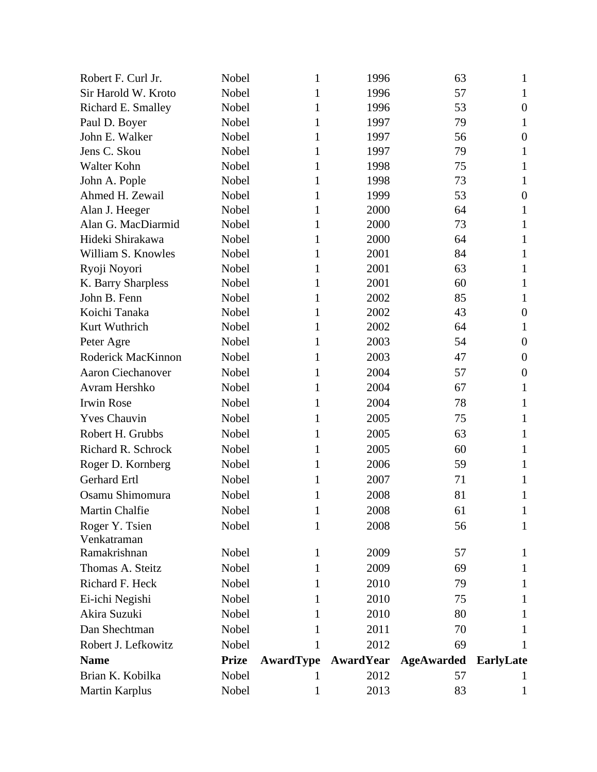| Robert F. Curl Jr.       | Nobel        | 1                | 1996             | 63                | 1                |
|--------------------------|--------------|------------------|------------------|-------------------|------------------|
| Sir Harold W. Kroto      | Nobel        | 1                | 1996             | 57                | 1                |
| Richard E. Smalley       | Nobel        | 1                | 1996             | 53                | $\boldsymbol{0}$ |
| Paul D. Boyer            | Nobel        | 1                | 1997             | 79                | 1                |
| John E. Walker           | Nobel        | 1                | 1997             | 56                | $\boldsymbol{0}$ |
| Jens C. Skou             | Nobel        | 1                | 1997             | 79                | 1                |
| Walter Kohn              | Nobel        | 1                | 1998             | 75                | 1                |
| John A. Pople            | Nobel        | 1                | 1998             | 73                | 1                |
| Ahmed H. Zewail          | Nobel        | 1                | 1999             | 53                | $\boldsymbol{0}$ |
| Alan J. Heeger           | Nobel        | 1                | 2000             | 64                | 1                |
| Alan G. MacDiarmid       | Nobel        | 1                | 2000             | 73                | 1                |
| Hideki Shirakawa         | Nobel        | 1                | 2000             | 64                | 1                |
| William S. Knowles       | Nobel        | 1                | 2001             | 84                | 1                |
| Ryoji Noyori             | Nobel        | 1                | 2001             | 63                | 1                |
| K. Barry Sharpless       | Nobel        | 1                | 2001             | 60                | 1                |
| John B. Fenn             | Nobel        | 1                | 2002             | 85                | 1                |
| Koichi Tanaka            | Nobel        | 1                | 2002             | 43                | $\boldsymbol{0}$ |
| Kurt Wuthrich            | Nobel        | 1                | 2002             | 64                | 1                |
| Peter Agre               | Nobel        | 1                | 2003             | 54                | $\boldsymbol{0}$ |
| Roderick MacKinnon       | Nobel        | 1                | 2003             | 47                | $\overline{0}$   |
| <b>Aaron Ciechanover</b> | Nobel        | 1                | 2004             | 57                | $\overline{0}$   |
| Avram Hershko            | Nobel        | 1                | 2004             | 67                | 1                |
| <b>Irwin Rose</b>        | Nobel        | 1                | 2004             | 78                | 1                |
| <b>Yves Chauvin</b>      | Nobel        | 1                | 2005             | 75                | 1                |
| Robert H. Grubbs         | Nobel        | 1                | 2005             | 63                | 1                |
| Richard R. Schrock       | Nobel        | 1                | 2005             | 60                | 1                |
| Roger D. Kornberg        | Nobel        | 1                | 2006             | 59                | 1                |
| Gerhard Ertl             | Nobel        | 1                | 2007             | 71                | 1                |
| Osamu Shimomura          | Nobel        | 1                | 2008             | 81                | 1                |
| Martin Chalfie           | Nobel        | $\mathbf{1}$     | 2008             | 61                | $\mathbf{1}$     |
| Roger Y. Tsien           | Nobel        | 1                | 2008             | 56                | 1                |
| Venkatraman              |              |                  |                  |                   |                  |
| Ramakrishnan             | Nobel        | 1                | 2009             | 57                | 1                |
| Thomas A. Steitz         | Nobel        | 1                | 2009             | 69                | 1                |
| Richard F. Heck          | Nobel        | 1                | 2010             | 79                | 1                |
| Ei-ichi Negishi          | Nobel        | 1                | 2010             | 75                | 1                |
| Akira Suzuki             | Nobel        | 1                | 2010             | 80                | 1                |
| Dan Shechtman            | Nobel        | 1                | 2011             | 70                | I.               |
| Robert J. Lefkowitz      | Nobel        | 1                | 2012             | 69                | 1                |
| <b>Name</b>              | <b>Prize</b> | <b>AwardType</b> | <b>AwardYear</b> | <b>AgeAwarded</b> | <b>EarlyLate</b> |
| Brian K. Kobilka         | Nobel        | 1                | 2012             | 57                | 1                |
| <b>Martin Karplus</b>    | Nobel        | 1                | 2013             | 83                | 1                |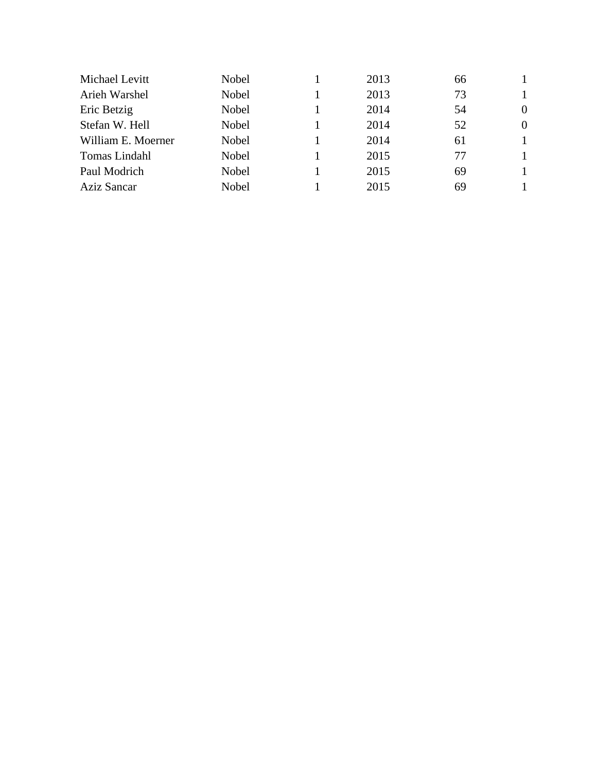| Michael Levitt     | Nobel | 2013 | 66 |                |
|--------------------|-------|------|----|----------------|
| Arieh Warshel      | Nobel | 2013 | 73 |                |
| Eric Betzig        | Nobel | 2014 | 54 | $\overline{0}$ |
| Stefan W. Hell     | Nobel | 2014 | 52 | $\overline{0}$ |
| William E. Moerner | Nobel | 2014 | 61 | 1              |
| Tomas Lindahl      | Nobel | 2015 | 77 | 1              |
| Paul Modrich       | Nobel | 2015 | 69 | 1              |
| <b>Aziz Sancar</b> | Nobel | 2015 | 69 |                |
|                    |       |      |    |                |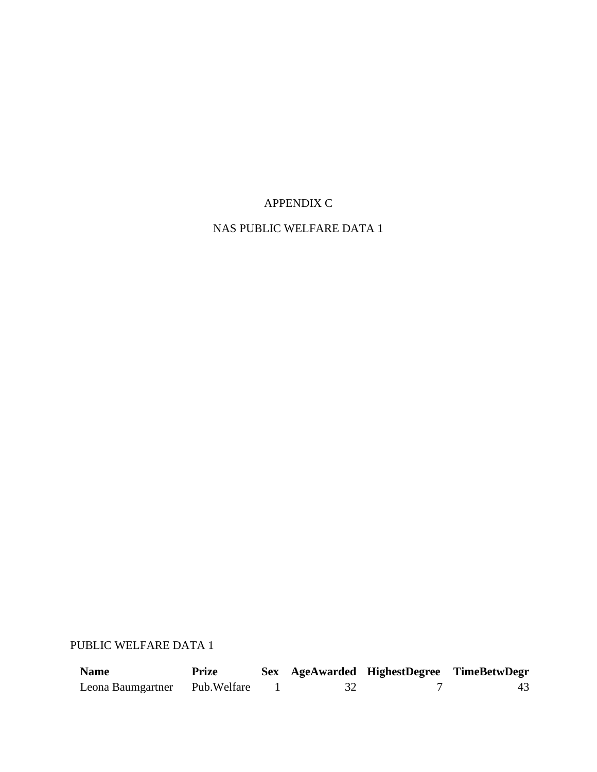# APPENDIX C

# NAS PUBLIC WELFARE DATA 1

# PUBLIC WELFARE DATA 1

| <b>Name</b>       | Prize        |  | Sex AgeAwarded HighestDegree TimeBetwDegr |  |
|-------------------|--------------|--|-------------------------------------------|--|
| Leona Baumgartner | Pub. Welfare |  |                                           |  |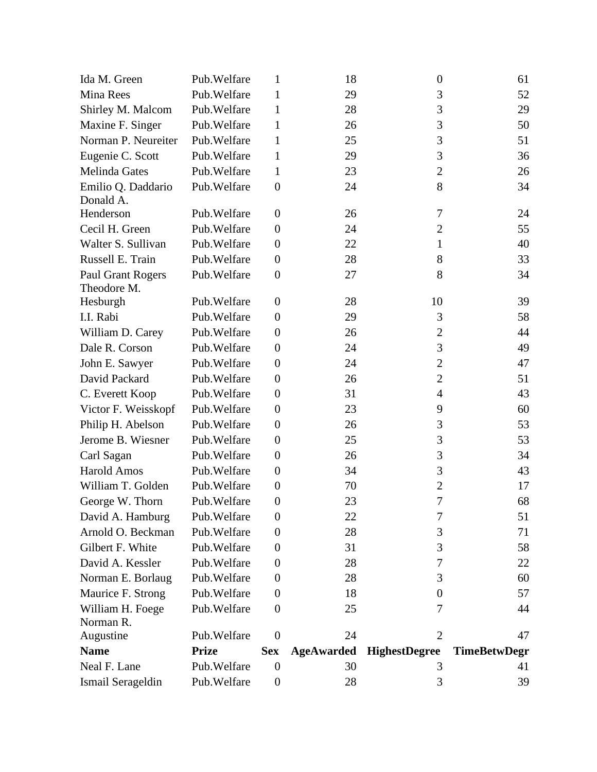| Ida M. Green         | Pub. Welfare | 1                | 18                | $\boldsymbol{0}$     | 61                  |
|----------------------|--------------|------------------|-------------------|----------------------|---------------------|
| Mina Rees            | Pub. Welfare | $\mathbf{1}$     | 29                | 3                    | 52                  |
| Shirley M. Malcom    | Pub. Welfare | $\mathbf{1}$     | 28                | 3                    | 29                  |
| Maxine F. Singer     | Pub. Welfare | $\mathbf{1}$     | 26                | 3                    | 50                  |
| Norman P. Neureiter  | Pub. Welfare | $\mathbf{1}$     | 25                | 3                    | 51                  |
| Eugenie C. Scott     | Pub. Welfare | $\mathbf{1}$     | 29                | 3                    | 36                  |
| <b>Melinda Gates</b> | Pub. Welfare | $\mathbf{1}$     | 23                | $\mathbf{2}$         | 26                  |
| Emilio Q. Daddario   | Pub. Welfare | $\boldsymbol{0}$ | 24                | 8                    | 34                  |
| Donald A.            |              |                  |                   |                      |                     |
| Henderson            | Pub. Welfare | $\boldsymbol{0}$ | 26                | 7                    | 24                  |
| Cecil H. Green       | Pub. Welfare | $\overline{0}$   | 24                | $\overline{2}$       | 55                  |
| Walter S. Sullivan   | Pub. Welfare | $\theta$         | 22                | 1                    | 40                  |
| Russell E. Train     | Pub. Welfare | $\boldsymbol{0}$ | 28                | 8                    | 33                  |
| Paul Grant Rogers    | Pub. Welfare | $\boldsymbol{0}$ | 27                | 8                    | 34                  |
| Theodore M.          |              |                  |                   |                      |                     |
| Hesburgh             | Pub. Welfare | $\boldsymbol{0}$ | 28                | 10                   | 39                  |
| I.I. Rabi            | Pub. Welfare | $\boldsymbol{0}$ | 29                | 3                    | 58                  |
| William D. Carey     | Pub. Welfare | $\boldsymbol{0}$ | 26                | $\overline{c}$       | 44                  |
| Dale R. Corson       | Pub. Welfare | $\boldsymbol{0}$ | 24                | 3                    | 49                  |
| John E. Sawyer       | Pub. Welfare | $\boldsymbol{0}$ | 24                | $\overline{2}$       | 47                  |
| David Packard        | Pub. Welfare | $\boldsymbol{0}$ | 26                | $\overline{2}$       | 51                  |
| C. Everett Koop      | Pub. Welfare | $\boldsymbol{0}$ | 31                | $\overline{4}$       | 43                  |
| Victor F. Weisskopf  | Pub. Welfare | $\boldsymbol{0}$ | 23                | 9                    | 60                  |
| Philip H. Abelson    | Pub. Welfare | $\boldsymbol{0}$ | 26                | 3                    | 53                  |
| Jerome B. Wiesner    | Pub. Welfare | $\boldsymbol{0}$ | 25                | 3                    | 53                  |
| Carl Sagan           | Pub. Welfare | $\boldsymbol{0}$ | 26                | 3                    | 34                  |
| <b>Harold Amos</b>   | Pub. Welfare | $\boldsymbol{0}$ | 34                | 3                    | 43                  |
| William T. Golden    | Pub. Welfare | $\boldsymbol{0}$ | 70                | $\overline{2}$       | 17                  |
| George W. Thorn      | Pub. Welfare | $\boldsymbol{0}$ | 23                | 7                    | 68                  |
| David A. Hamburg     | Pub. Welfare | $\theta$         | 22                | 7                    | 51                  |
| Arnold O. Beckman    | Pub. Welfare | $\boldsymbol{0}$ | 28                | 3                    | 71                  |
| Gilbert F. White     | Pub. Welfare | $\boldsymbol{0}$ | 31                | 3                    | 58                  |
| David A. Kessler     | Pub. Welfare | $\theta$         | 28                | 7                    | 22                  |
| Norman E. Borlaug    | Pub. Welfare | $\boldsymbol{0}$ | 28                | 3                    | 60                  |
| Maurice F. Strong    | Pub. Welfare | $\boldsymbol{0}$ | 18                | $\overline{0}$       | 57                  |
| William H. Foege     | Pub. Welfare | $\boldsymbol{0}$ | 25                | 7                    | 44                  |
| Norman R.            |              |                  |                   |                      |                     |
| Augustine            | Pub. Welfare | $\theta$         | 24                | $\overline{2}$       | 47                  |
| <b>Name</b>          | <b>Prize</b> | <b>Sex</b>       | <b>AgeAwarded</b> | <b>HighestDegree</b> | <b>TimeBetwDegr</b> |
| Neal F. Lane         | Pub. Welfare | $\theta$         | 30                | 3                    | 41                  |
| Ismail Serageldin    | Pub. Welfare | $\boldsymbol{0}$ | 28                | 3                    | 39                  |
|                      |              |                  |                   |                      |                     |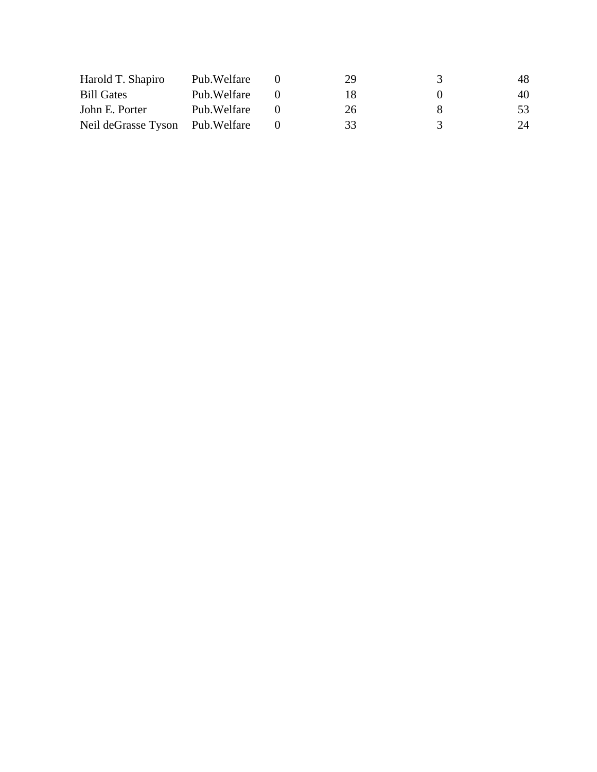| Harold T. Shapiro                | Pub. Welfare | 29 | 3             | 48 |
|----------------------------------|--------------|----|---------------|----|
| <b>Bill Gates</b>                | Pub. Welfare | 18 | $\mathbf{U}$  | 40 |
| John E. Porter                   | Pub. Welfare | 26 | x             | 53 |
| Neil deGrasse Tyson Pub. Welfare |              | 33 | $\mathcal{R}$ | 24 |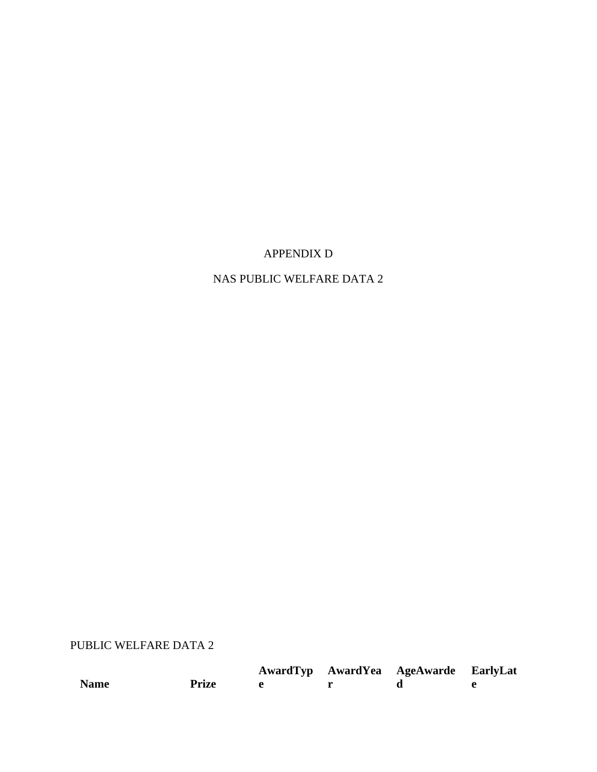## APPENDIX D

# NAS PUBLIC WELFARE DATA 2

# PUBLIC WELFARE DATA 2

|             |              |  | AwardTyp AwardYea AgeAwarde EarlyLat |  |
|-------------|--------------|--|--------------------------------------|--|
| <b>Name</b> | <b>Prize</b> |  |                                      |  |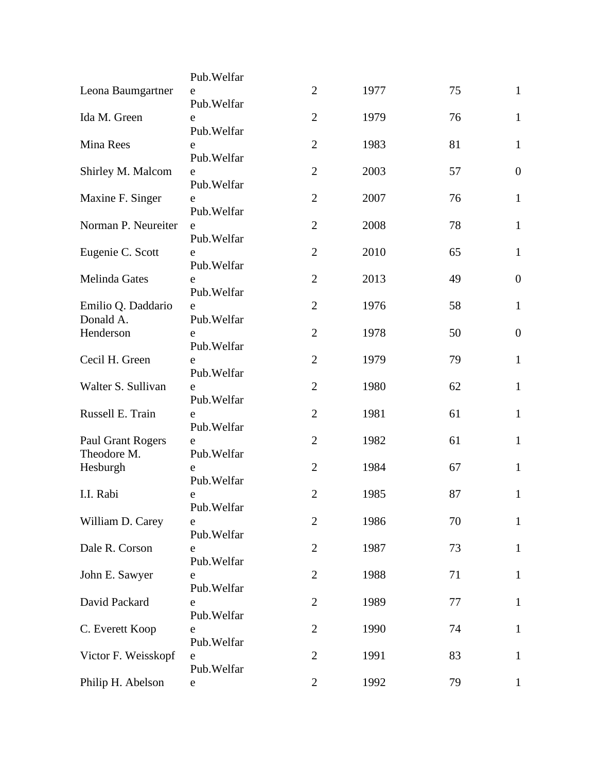|                                         | Pub. Welfar      |                |      |    |                  |
|-----------------------------------------|------------------|----------------|------|----|------------------|
| Leona Baumgartner                       | e<br>Pub. Welfar | $\overline{2}$ | 1977 | 75 | $\mathbf{1}$     |
| Ida M. Green                            | e<br>Pub. Welfar | $\overline{2}$ | 1979 | 76 | $\mathbf{1}$     |
| Mina Rees                               | e<br>Pub. Welfar | $\overline{2}$ | 1983 | 81 | $\mathbf{1}$     |
| Shirley M. Malcom                       | e<br>Pub. Welfar | $\overline{2}$ | 2003 | 57 | $\overline{0}$   |
| Maxine F. Singer                        | e<br>Pub. Welfar | $\overline{2}$ | 2007 | 76 | $\mathbf{1}$     |
| Norman P. Neureiter                     | e<br>Pub. Welfar | $\overline{2}$ | 2008 | 78 | $\mathbf{1}$     |
| Eugenie C. Scott                        | e<br>Pub. Welfar | $\overline{2}$ | 2010 | 65 | $\mathbf{1}$     |
| Melinda Gates                           | e<br>Pub. Welfar | $\overline{2}$ | 2013 | 49 | $\boldsymbol{0}$ |
| Emilio Q. Daddario<br>Donald A.         | e<br>Pub. Welfar | $\overline{2}$ | 1976 | 58 | $\mathbf{1}$     |
| Henderson                               | e<br>Pub. Welfar | $\overline{2}$ | 1978 | 50 | $\boldsymbol{0}$ |
| Cecil H. Green                          | e<br>Pub. Welfar | $\overline{2}$ | 1979 | 79 | $\mathbf{1}$     |
| Walter S. Sullivan                      | e<br>Pub. Welfar | $\overline{2}$ | 1980 | 62 | $\mathbf{1}$     |
| Russell E. Train                        | e<br>Pub. Welfar | $\overline{2}$ | 1981 | 61 | $\mathbf{1}$     |
| <b>Paul Grant Rogers</b><br>Theodore M. | e<br>Pub. Welfar | $\overline{2}$ | 1982 | 61 | $\mathbf{1}$     |
| Hesburgh                                | e<br>Pub. Welfar | $\overline{2}$ | 1984 | 67 | $\mathbf{1}$     |
| I.I. Rabi                               | e<br>Pub. Welfar | $\overline{2}$ | 1985 | 87 | $\mathbf{1}$     |
| William D. Carey                        | e<br>Pub. Welfar | $\overline{2}$ | 1986 | 70 | $\mathbf{1}$     |
| Dale R. Corson                          | e<br>Pub. Welfar | $\overline{2}$ | 1987 | 73 | $\mathbf{1}$     |
| John E. Sawyer                          | e<br>Pub. Welfar | $\overline{2}$ | 1988 | 71 | $\mathbf{1}$     |
| David Packard                           | e<br>Pub. Welfar | $\overline{2}$ | 1989 | 77 | $\mathbf{1}$     |
| C. Everett Koop                         | e<br>Pub. Welfar | $\overline{2}$ | 1990 | 74 | $\mathbf{1}$     |
| Victor F. Weisskopf                     | e<br>Pub. Welfar | $\overline{2}$ | 1991 | 83 | $\mathbf{1}$     |
| Philip H. Abelson                       | ${\rm e}$        | $\overline{2}$ | 1992 | 79 | $\mathbf{1}$     |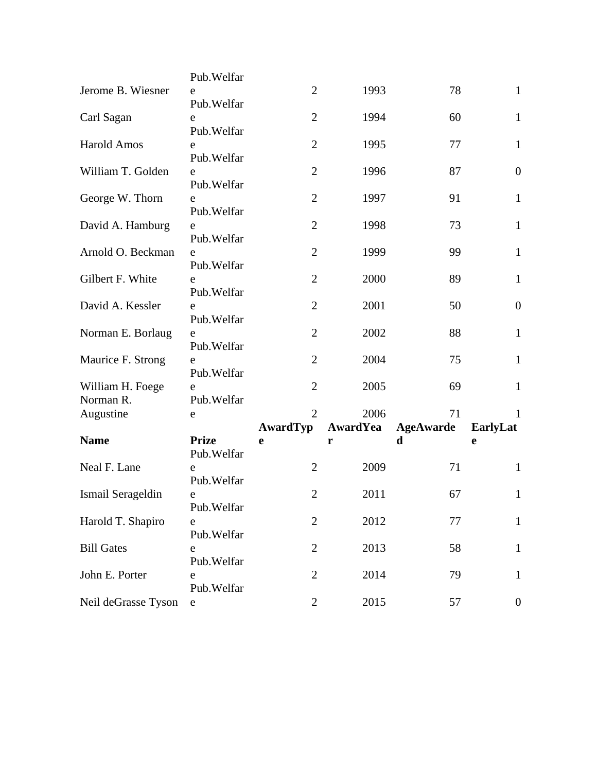|                     | Pub. Welfar  |                |                 |                  |                  |
|---------------------|--------------|----------------|-----------------|------------------|------------------|
| Jerome B. Wiesner   | e            | $\overline{2}$ | 1993            | 78               | $\mathbf{1}$     |
|                     | Pub. Welfar  |                |                 |                  |                  |
| Carl Sagan          | e            | $\overline{2}$ | 1994            | 60               | $\mathbf{1}$     |
|                     | Pub. Welfar  |                |                 |                  |                  |
| <b>Harold Amos</b>  | e            | $\overline{2}$ | 1995            | 77               | $\mathbf{1}$     |
|                     | Pub. Welfar  |                |                 |                  |                  |
| William T. Golden   | e            | $\overline{2}$ | 1996            | 87               | $\boldsymbol{0}$ |
|                     | Pub. Welfar  |                |                 |                  |                  |
| George W. Thorn     | e            | $\overline{2}$ | 1997            | 91               | $\mathbf{1}$     |
|                     | Pub. Welfar  |                |                 |                  |                  |
| David A. Hamburg    | e            | $\overline{2}$ | 1998            | 73               | $\mathbf{1}$     |
|                     | Pub. Welfar  |                |                 |                  |                  |
| Arnold O. Beckman   | e            | $\overline{2}$ | 1999            | 99               | $\mathbf{1}$     |
|                     | Pub. Welfar  |                |                 |                  |                  |
| Gilbert F. White    | e            | $\overline{2}$ | 2000            | 89               | $\mathbf{1}$     |
|                     | Pub. Welfar  |                |                 |                  |                  |
| David A. Kessler    | e            | $\overline{2}$ | 2001            | 50               | $\boldsymbol{0}$ |
|                     | Pub. Welfar  |                |                 |                  |                  |
| Norman E. Borlaug   | e            | $\overline{2}$ | 2002            | 88               | $\mathbf{1}$     |
|                     | Pub. Welfar  |                |                 |                  |                  |
| Maurice F. Strong   | e            | $\overline{2}$ | 2004            | 75               | $\mathbf{1}$     |
|                     | Pub. Welfar  |                |                 |                  |                  |
| William H. Foege    | e            | $\overline{2}$ | 2005            | 69               | $\mathbf{1}$     |
| Norman R.           | Pub. Welfar  |                |                 |                  |                  |
| Augustine           | e            | $\overline{2}$ | 2006            | 71               | 1                |
|                     | <b>Prize</b> | AwardTyp       | <b>AwardYea</b> | <b>AgeAwarde</b> | EarlyLat         |
| <b>Name</b>         | Pub. Welfar  | e              | r               | d                | e                |
| Neal F. Lane        | e            | $\overline{2}$ | 2009            | 71               | $\mathbf{1}$     |
|                     | Pub. Welfar  |                |                 |                  |                  |
| Ismail Serageldin   | e            | $\overline{2}$ | 2011            | 67               | $\mathbf{1}$     |
|                     | Pub. Welfar  |                |                 |                  |                  |
| Harold T. Shapiro   | e            | $\overline{2}$ | 2012            | 77               | $\mathbf{1}$     |
|                     | Pub. Welfar  |                |                 |                  |                  |
| <b>Bill Gates</b>   | e            | $\overline{2}$ | 2013            | 58               | $\mathbf{1}$     |
|                     | Pub. Welfar  |                |                 |                  |                  |
| John E. Porter      | e            | $\overline{2}$ | 2014            | 79               | $\mathbf{1}$     |
|                     | Pub. Welfar  |                |                 |                  |                  |
| Neil deGrasse Tyson | ${\rm e}$    | $\mathbf{2}$   | 2015            | 57               | $\boldsymbol{0}$ |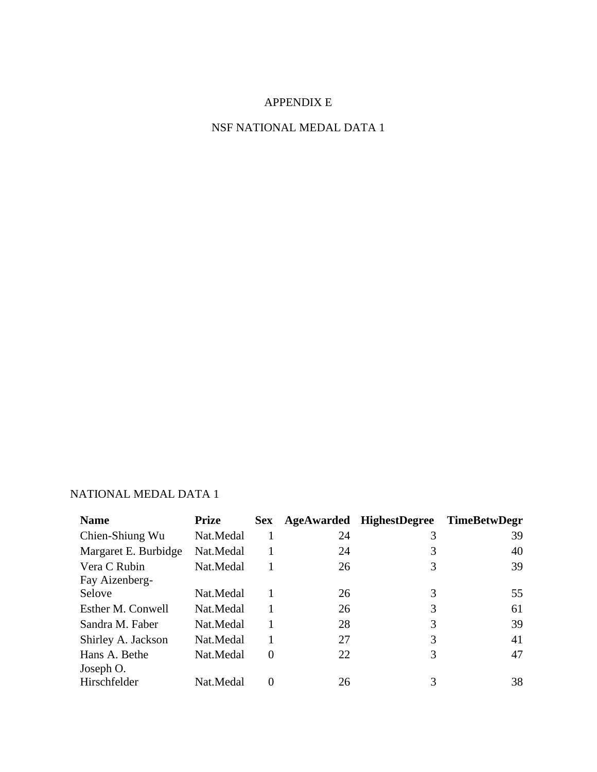## APPENDIX E

## NSF NATIONAL MEDAL DATA 1

## NATIONAL MEDAL DATA 1

| <b>Name</b>          | <b>Prize</b> | <b>Sex</b>     | <b>AgeAwarded</b> | <b>HighestDegree</b> | <b>TimeBetwDegr</b> |
|----------------------|--------------|----------------|-------------------|----------------------|---------------------|
| Chien-Shiung Wu      | Nat.Medal    | 1              | 24                | 3                    | 39                  |
| Margaret E. Burbidge | Nat.Medal    |                | 24                | 3                    | 40                  |
| Vera C Rubin         | Nat.Medal    |                | 26                | 3                    | 39                  |
| Fay Aizenberg-       |              |                |                   |                      |                     |
| Selove               | Nat.Medal    |                | 26                | 3                    | 55                  |
| Esther M. Conwell    | Nat.Medal    |                | 26                | 3                    | 61                  |
| Sandra M. Faber      | Nat.Medal    |                | 28                | 3                    | 39                  |
| Shirley A. Jackson   | Nat.Medal    |                | 27                | 3                    | 41                  |
| Hans A. Bethe        | Nat.Medal    | $\overline{0}$ | 22                | 3                    | 47                  |
| Joseph O.            |              |                |                   |                      |                     |
| Hirschfelder         | Nat.Medal    | $\Omega$       | 26                | 3                    | 38                  |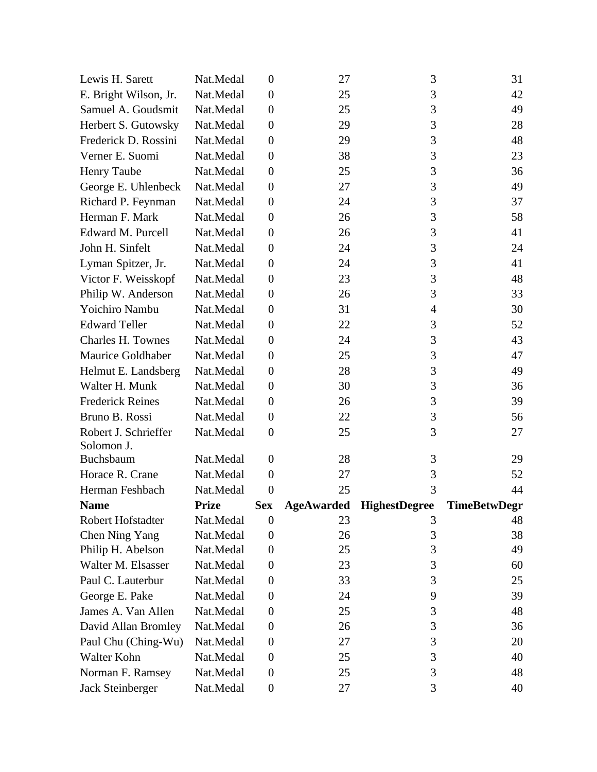| Lewis H. Sarett          | Nat.Medal    | $\boldsymbol{0}$ | 27                | 3                    | 31           |
|--------------------------|--------------|------------------|-------------------|----------------------|--------------|
| E. Bright Wilson, Jr.    | Nat.Medal    | $\boldsymbol{0}$ | 25                | 3                    | 42           |
| Samuel A. Goudsmit       | Nat.Medal    | $\boldsymbol{0}$ | 25                | 3                    | 49           |
| Herbert S. Gutowsky      | Nat.Medal    | $\boldsymbol{0}$ | 29                | 3                    | 28           |
| Frederick D. Rossini     | Nat.Medal    | $\boldsymbol{0}$ | 29                | 3                    | 48           |
| Verner E. Suomi          | Nat.Medal    | $\boldsymbol{0}$ | 38                | 3                    | 23           |
| <b>Henry Taube</b>       | Nat.Medal    | $\boldsymbol{0}$ | 25                | 3                    | 36           |
| George E. Uhlenbeck      | Nat.Medal    | $\boldsymbol{0}$ | 27                | 3                    | 49           |
| Richard P. Feynman       | Nat.Medal    | $\boldsymbol{0}$ | 24                | 3                    | 37           |
| Herman F. Mark           | Nat.Medal    | $\boldsymbol{0}$ | 26                | 3                    | 58           |
| Edward M. Purcell        | Nat.Medal    | $\boldsymbol{0}$ | 26                | 3                    | 41           |
| John H. Sinfelt          | Nat.Medal    | $\boldsymbol{0}$ | 24                | 3                    | 24           |
| Lyman Spitzer, Jr.       | Nat.Medal    | $\boldsymbol{0}$ | 24                | 3                    | 41           |
| Victor F. Weisskopf      | Nat.Medal    | $\boldsymbol{0}$ | 23                | 3                    | 48           |
| Philip W. Anderson       | Nat.Medal    | $\boldsymbol{0}$ | 26                | 3                    | 33           |
| Yoichiro Nambu           | Nat.Medal    | $\boldsymbol{0}$ | 31                | $\overline{4}$       | 30           |
| <b>Edward Teller</b>     | Nat.Medal    | $\boldsymbol{0}$ | 22                | 3                    | 52           |
| <b>Charles H. Townes</b> | Nat.Medal    | $\boldsymbol{0}$ | 24                | 3                    | 43           |
| Maurice Goldhaber        | Nat.Medal    | $\boldsymbol{0}$ | 25                | 3                    | 47           |
| Helmut E. Landsberg      | Nat.Medal    | $\boldsymbol{0}$ | 28                | 3                    | 49           |
| Walter H. Munk           | Nat.Medal    | $\boldsymbol{0}$ | 30                | 3                    | 36           |
| <b>Frederick Reines</b>  | Nat.Medal    | $\boldsymbol{0}$ | 26                | 3                    | 39           |
| Bruno B. Rossi           | Nat.Medal    | $\boldsymbol{0}$ | 22                | 3                    | 56           |
| Robert J. Schrieffer     | Nat.Medal    | $\boldsymbol{0}$ | 25                | 3                    | 27           |
| Solomon J.               |              |                  |                   |                      |              |
| Buchsbaum                | Nat.Medal    | $\boldsymbol{0}$ | 28                | 3                    | 29           |
| Horace R. Crane          | Nat.Medal    | $\boldsymbol{0}$ | 27                | 3                    | 52           |
| Herman Feshbach          | Nat.Medal    | $\boldsymbol{0}$ | 25                | 3                    | 44           |
| <b>Name</b>              | <b>Prize</b> | <b>Sex</b>       | <b>AgeAwarded</b> | <b>HighestDegree</b> | TimeBetwDegr |
| Robert Hofstadter        | Nat.Medal    | $\boldsymbol{0}$ | 23                | 3                    | 48           |
| Chen Ning Yang           | Nat.Medal    | $\boldsymbol{0}$ | 26                | 3                    | 38           |
| Philip H. Abelson        | Nat.Medal    | $\boldsymbol{0}$ | 25                | 3                    | 49           |
| Walter M. Elsasser       | Nat.Medal    | 0                | 23                | 3                    | 60           |
| Paul C. Lauterbur        | Nat.Medal    | $\boldsymbol{0}$ | 33                | 3                    | 25           |
| George E. Pake           | Nat.Medal    | $\boldsymbol{0}$ | 24                | 9                    | 39           |
| James A. Van Allen       | Nat.Medal    | $\boldsymbol{0}$ | 25                | 3                    | 48           |
| David Allan Bromley      | Nat.Medal    | $\boldsymbol{0}$ | 26                | 3                    | 36           |
| Paul Chu (Ching-Wu)      | Nat.Medal    | $\overline{0}$   | 27                | 3                    | 20           |
| Walter Kohn              | Nat.Medal    | $\boldsymbol{0}$ | 25                | 3                    | 40           |
| Norman F. Ramsey         | Nat.Medal    | $\boldsymbol{0}$ | 25                | 3                    | 48           |
| Jack Steinberger         | Nat.Medal    | $\boldsymbol{0}$ | 27                | 3                    | 40           |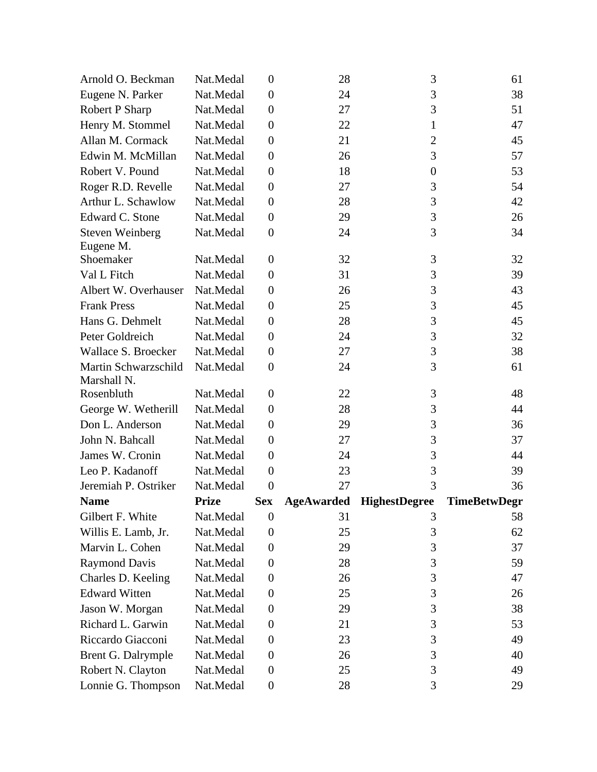| Arnold O. Beckman                   | Nat.Medal    | $\boldsymbol{0}$ | 28                | 3                    | 61                  |
|-------------------------------------|--------------|------------------|-------------------|----------------------|---------------------|
| Eugene N. Parker                    | Nat.Medal    | $\boldsymbol{0}$ | 24                | 3                    | 38                  |
| Robert P Sharp                      | Nat.Medal    | $\boldsymbol{0}$ | 27                | 3                    | 51                  |
| Henry M. Stommel                    | Nat.Medal    | $\boldsymbol{0}$ | 22                | 1                    | 47                  |
| Allan M. Cormack                    | Nat.Medal    | $\boldsymbol{0}$ | 21                | $\overline{2}$       | 45                  |
| Edwin M. McMillan                   | Nat.Medal    | $\boldsymbol{0}$ | 26                | 3                    | 57                  |
| Robert V. Pound                     | Nat.Medal    | $\boldsymbol{0}$ | 18                | $\boldsymbol{0}$     | 53                  |
| Roger R.D. Revelle                  | Nat.Medal    | $\boldsymbol{0}$ | 27                | 3                    | 54                  |
| Arthur L. Schawlow                  | Nat.Medal    | $\boldsymbol{0}$ | 28                | 3                    | 42                  |
| Edward C. Stone                     | Nat.Medal    | $\overline{0}$   | 29                | 3                    | 26                  |
| <b>Steven Weinberg</b><br>Eugene M. | Nat.Medal    | $\boldsymbol{0}$ | 24                | 3                    | 34                  |
| Shoemaker                           | Nat.Medal    | $\overline{0}$   | 32                | 3                    | 32                  |
| Val L Fitch                         | Nat.Medal    | $\boldsymbol{0}$ | 31                | 3                    | 39                  |
| Albert W. Overhauser                | Nat.Medal    | $\boldsymbol{0}$ | 26                | 3                    | 43                  |
| <b>Frank Press</b>                  | Nat.Medal    | $\boldsymbol{0}$ | 25                | 3                    | 45                  |
| Hans G. Dehmelt                     | Nat.Medal    | $\boldsymbol{0}$ | 28                | 3                    | 45                  |
| Peter Goldreich                     | Nat.Medal    | $\boldsymbol{0}$ | 24                | 3                    | 32                  |
| Wallace S. Broecker                 | Nat.Medal    | $\boldsymbol{0}$ | 27                | 3                    | 38                  |
| Martin Schwarzschild<br>Marshall N. | Nat.Medal    | $\boldsymbol{0}$ | 24                | 3                    | 61                  |
| Rosenbluth                          | Nat.Medal    | $\boldsymbol{0}$ | 22                | 3                    | 48                  |
| George W. Wetherill                 | Nat.Medal    | $\boldsymbol{0}$ | 28                | 3                    | 44                  |
| Don L. Anderson                     | Nat.Medal    | $\boldsymbol{0}$ | 29                | 3                    | 36                  |
| John N. Bahcall                     | Nat.Medal    | $\boldsymbol{0}$ | 27                | 3                    | 37                  |
| James W. Cronin                     | Nat.Medal    | $\boldsymbol{0}$ | 24                | 3                    | 44                  |
| Leo P. Kadanoff                     | Nat.Medal    | $\boldsymbol{0}$ | 23                | 3                    | 39                  |
| Jeremiah P. Ostriker                | Nat.Medal    | $\overline{0}$   | 27                | 3                    | 36                  |
| <b>Name</b>                         | <b>Prize</b> | <b>Sex</b>       | <b>AgeAwarded</b> | <b>HighestDegree</b> | <b>TimeBetwDegr</b> |
| Gilbert F. White                    | Nat.Medal    | $\boldsymbol{0}$ | 31                | 3                    | 58                  |
| Willis E. Lamb, Jr.                 | Nat.Medal    | $\boldsymbol{0}$ | 25                | 3                    | 62                  |
| Marvin L. Cohen                     | Nat.Medal    | $\boldsymbol{0}$ | 29                | 3                    | 37                  |
| <b>Raymond Davis</b>                | Nat.Medal    | $\boldsymbol{0}$ | 28                | 3                    | 59                  |
| Charles D. Keeling                  | Nat.Medal    | 0                | 26                | 3                    | 47                  |
| <b>Edward Witten</b>                | Nat.Medal    | $\boldsymbol{0}$ | 25                | 3                    | 26                  |
| Jason W. Morgan                     | Nat.Medal    | $\boldsymbol{0}$ | 29                | 3                    | 38                  |
| Richard L. Garwin                   | Nat.Medal    | $\boldsymbol{0}$ | 21                | 3                    | 53                  |
| Riccardo Giacconi                   | Nat.Medal    | $\boldsymbol{0}$ | 23                | 3                    | 49                  |
| Brent G. Dalrymple                  | Nat.Medal    | $\boldsymbol{0}$ | 26                | 3                    | 40                  |
| Robert N. Clayton                   | Nat.Medal    | $\boldsymbol{0}$ | 25                | 3                    | 49                  |
| Lonnie G. Thompson                  | Nat.Medal    | $\boldsymbol{0}$ | 28                | 3                    | 29                  |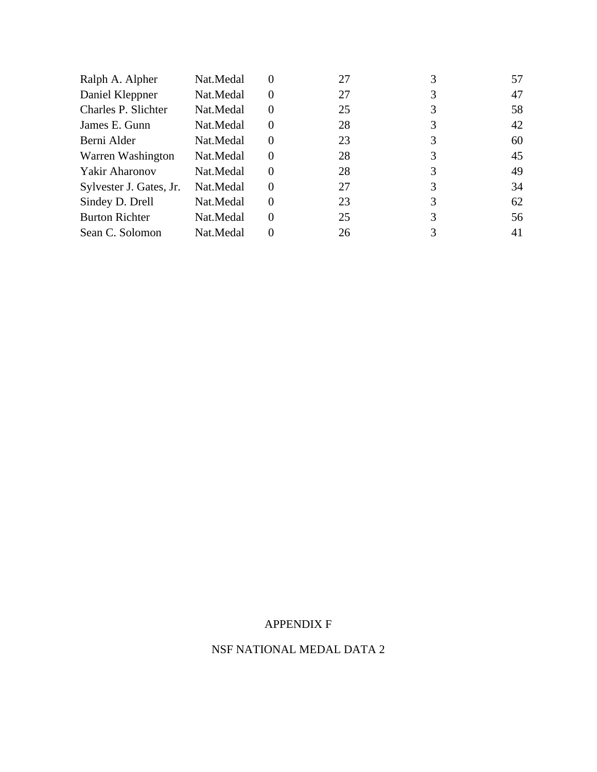| Nat.Medal | $\theta$ | 27 |   | 57 |
|-----------|----------|----|---|----|
| Nat.Medal | $\Omega$ | 27 | 3 | 47 |
| Nat.Medal | 0        | 25 |   | 58 |
| Nat.Medal | $\Omega$ | 28 | 3 | 42 |
| Nat.Medal | $\Omega$ | 23 |   | 60 |
| Nat.Medal | $\Omega$ | 28 | 3 | 45 |
| Nat.Medal | $\Omega$ | 28 | 3 | 49 |
| Nat.Medal | $\Omega$ | 27 |   | 34 |
| Nat.Medal | $\Omega$ | 23 | 3 | 62 |
| Nat.Medal | $\Omega$ | 25 |   | 56 |
| Nat.Medal | 0        | 26 |   | 41 |
|           |          |    |   |    |

# APPENDIX F

# NSF NATIONAL MEDAL DATA 2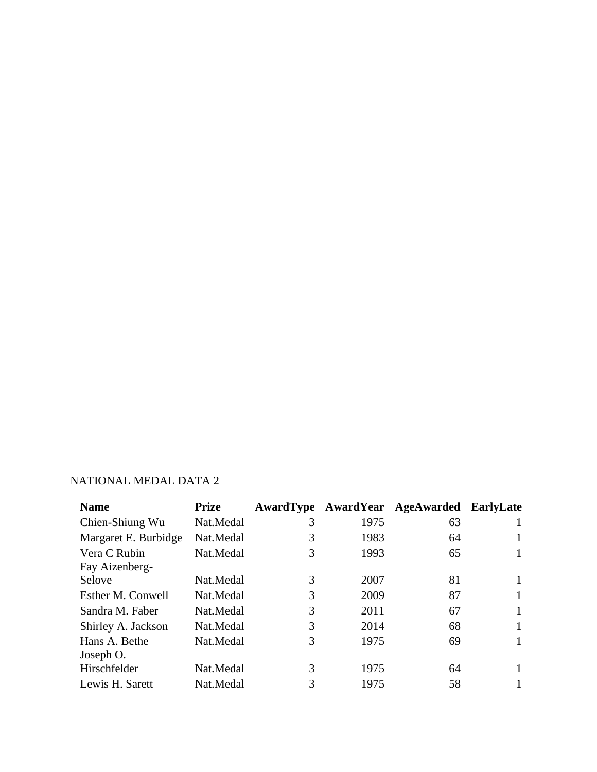# NATIONAL MEDAL DATA 2

| <b>Name</b>          | <b>Prize</b> |   |      | AwardType AwardYear AgeAwarded EarlyLate |   |
|----------------------|--------------|---|------|------------------------------------------|---|
| Chien-Shiung Wu      | Nat.Medal    | 3 | 1975 | 63                                       |   |
| Margaret E. Burbidge | Nat.Medal    | 3 | 1983 | 64                                       | 1 |
| Vera C Rubin         | Nat.Medal    | 3 | 1993 | 65                                       | 1 |
| Fay Aizenberg-       |              |   |      |                                          |   |
| Selove               | Nat.Medal    | 3 | 2007 | 81                                       | 1 |
| Esther M. Conwell    | Nat.Medal    | 3 | 2009 | 87                                       |   |
| Sandra M. Faber      | Nat.Medal    | 3 | 2011 | 67                                       |   |
| Shirley A. Jackson   | Nat.Medal    | 3 | 2014 | 68                                       | 1 |
| Hans A. Bethe        | Nat.Medal    | 3 | 1975 | 69                                       | 1 |
| Joseph O.            |              |   |      |                                          |   |
| Hirschfelder         | Nat.Medal    | 3 | 1975 | 64                                       | 1 |
| Lewis H. Sarett      | Nat.Medal    | 3 | 1975 | 58                                       |   |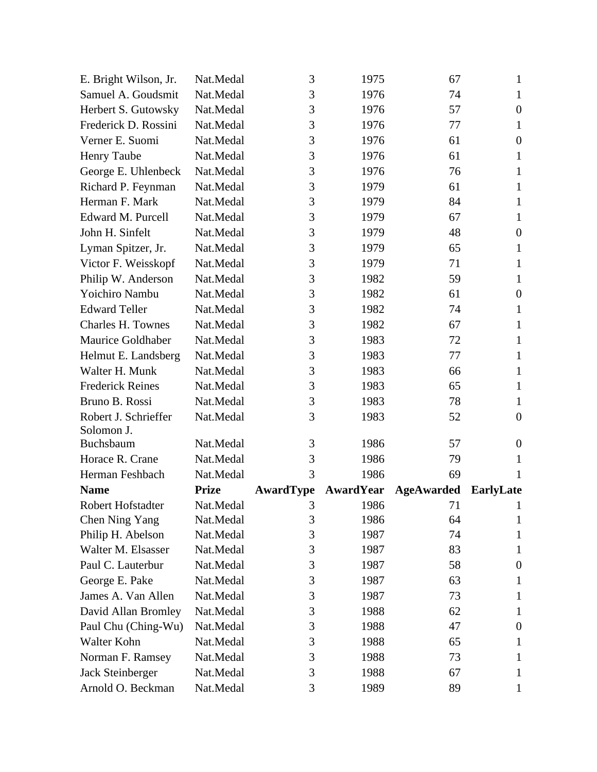| E. Bright Wilson, Jr.              | Nat.Medal    | 3                | 1975             | 67                | $\mathbf{1}$     |
|------------------------------------|--------------|------------------|------------------|-------------------|------------------|
| Samuel A. Goudsmit                 | Nat.Medal    | 3                | 1976             | 74                | $\mathbf{1}$     |
| Herbert S. Gutowsky                | Nat.Medal    | 3                | 1976             | 57                | $\overline{0}$   |
| Frederick D. Rossini               | Nat.Medal    | 3                | 1976             | 77                | $\mathbf{1}$     |
| Verner E. Suomi                    | Nat.Medal    | 3                | 1976             | 61                | $\boldsymbol{0}$ |
| <b>Henry Taube</b>                 | Nat.Medal    | 3                | 1976             | 61                | 1                |
| George E. Uhlenbeck                | Nat.Medal    | 3                | 1976             | 76                | 1                |
| Richard P. Feynman                 | Nat.Medal    | 3                | 1979             | 61                | $\mathbf{1}$     |
| Herman F. Mark                     | Nat.Medal    | 3                | 1979             | 84                | $\mathbf{1}$     |
| Edward M. Purcell                  | Nat.Medal    | 3                | 1979             | 67                | $\mathbf{1}$     |
| John H. Sinfelt                    | Nat.Medal    | 3                | 1979             | 48                | $\overline{0}$   |
| Lyman Spitzer, Jr.                 | Nat.Medal    | 3                | 1979             | 65                | 1                |
| Victor F. Weisskopf                | Nat.Medal    | 3                | 1979             | 71                | $\mathbf{1}$     |
| Philip W. Anderson                 | Nat.Medal    | 3                | 1982             | 59                | $\mathbf{1}$     |
| Yoichiro Nambu                     | Nat.Medal    | 3                | 1982             | 61                | $\boldsymbol{0}$ |
| <b>Edward Teller</b>               | Nat.Medal    | 3                | 1982             | 74                | $\mathbf{1}$     |
| <b>Charles H. Townes</b>           | Nat.Medal    | 3                | 1982             | 67                | $\mathbf{1}$     |
| Maurice Goldhaber                  | Nat.Medal    | 3                | 1983             | 72                | $\mathbf{1}$     |
| Helmut E. Landsberg                | Nat.Medal    | 3                | 1983             | 77                | 1                |
| Walter H. Munk                     | Nat.Medal    | 3                | 1983             | 66                | $\mathbf{1}$     |
| <b>Frederick Reines</b>            | Nat.Medal    | 3                | 1983             | 65                | $\mathbf{1}$     |
| Bruno B. Rossi                     | Nat.Medal    | 3                | 1983             | 78                | $\mathbf{1}$     |
| Robert J. Schrieffer<br>Solomon J. | Nat.Medal    | 3                | 1983             | 52                | $\overline{0}$   |
| Buchsbaum                          | Nat.Medal    | 3                | 1986             | 57                | $\boldsymbol{0}$ |
| Horace R. Crane                    | Nat.Medal    | 3                | 1986             | 79                | 1                |
| Herman Feshbach                    | Nat.Medal    | 3                | 1986             | 69                | 1                |
| <b>Name</b>                        | <b>Prize</b> | <b>AwardType</b> | <b>AwardYear</b> | <b>AgeAwarded</b> | <b>EarlyLate</b> |
| Robert Hofstadter                  | Nat.Medal    | 3                | 1986             | 71                |                  |
| Chen Ning Yang                     | Nat.Medal    | 3                | 1986             | 64                | 1                |
| Philip H. Abelson                  | Nat.Medal    | 3                | 1987             | 74                | 1                |
| Walter M. Elsasser                 | Nat.Medal    | 3                | 1987             | 83                | $\mathbf{1}$     |
| Paul C. Lauterbur                  | Nat.Medal    | 3                | 1987             | 58                | $\boldsymbol{0}$ |
| George E. Pake                     | Nat.Medal    | 3                | 1987             | 63                | 1                |
| James A. Van Allen                 | Nat.Medal    | 3                | 1987             | 73                | 1                |
| David Allan Bromley                | Nat.Medal    | 3                | 1988             | 62                | 1                |
| Paul Chu (Ching-Wu)                | Nat.Medal    | 3                | 1988             | 47                | $\boldsymbol{0}$ |
| Walter Kohn                        | Nat.Medal    | 3                | 1988             | 65                | 1                |
| Norman F. Ramsey                   | Nat.Medal    | 3                | 1988             | 73                | 1                |
| Jack Steinberger                   | Nat.Medal    | 3                | 1988             | 67                | 1                |
| Arnold O. Beckman                  | Nat.Medal    | 3                | 1989             | 89                | 1                |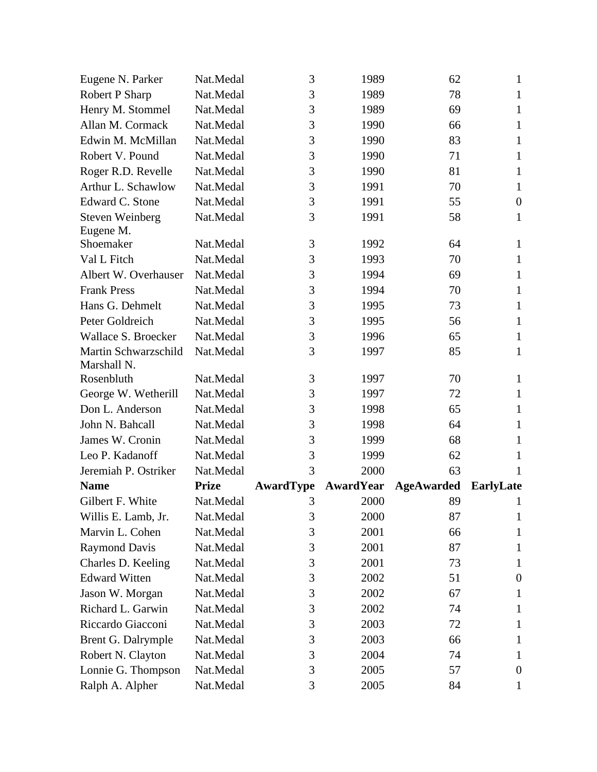| Eugene N. Parker       | Nat.Medal              | 3                | 1989             | 62                | $\mathbf{1}$     |
|------------------------|------------------------|------------------|------------------|-------------------|------------------|
| <b>Robert P Sharp</b>  | Nat.Medal              | 3                | 1989             | 78                | $\mathbf{1}$     |
| Henry M. Stommel       | Nat.Medal              | 3                | 1989             | 69                | 1                |
| Allan M. Cormack       | Nat.Medal              | 3                | 1990             | 66                | $\mathbf{1}$     |
| Edwin M. McMillan      | Nat.Medal              | 3                | 1990             | 83                | $\mathbf{1}$     |
| Robert V. Pound        | Nat.Medal              | 3                | 1990             | 71                | 1                |
| Roger R.D. Revelle     | Nat.Medal              | 3                | 1990             | 81                | $\mathbf{1}$     |
| Arthur L. Schawlow     | Nat.Medal              | 3                | 1991             | 70                | $\mathbf{1}$     |
| Edward C. Stone        | Nat.Medal              | 3                | 1991             | 55                | $\overline{0}$   |
| <b>Steven Weinberg</b> | Nat.Medal              | 3                | 1991             | 58                | $\mathbf{1}$     |
| Eugene M.              |                        |                  |                  |                   |                  |
| Shoemaker              | Nat.Medal              | 3                | 1992             | 64                | $\mathbf{1}$     |
| Val L Fitch            | Nat.Medal              | 3                | 1993             | 70                | $\mathbf{1}$     |
| Albert W. Overhauser   | Nat.Medal              | 3                | 1994             | 69                | $\mathbf{1}$     |
| <b>Frank Press</b>     | Nat.Medal              | 3                | 1994             | 70                | 1                |
| Hans G. Dehmelt        | Nat.Medal              | 3                | 1995             | 73                | 1                |
| Peter Goldreich        | Nat.Medal              | 3                | 1995             | 56                | $\mathbf{1}$     |
| Wallace S. Broecker    | Nat.Medal              | 3                | 1996             | 65                | $\mathbf{1}$     |
| Martin Schwarzschild   | Nat.Medal              | 3                | 1997             | 85                | 1                |
| Marshall N.            |                        |                  |                  |                   |                  |
| Rosenbluth             | Nat.Medal              | 3<br>3           | 1997             | 70                | 1                |
| George W. Wetherill    | Nat.Medal              |                  | 1997             | 72                | $\mathbf{1}$     |
| Don L. Anderson        | Nat.Medal              | 3                | 1998             | 65                | $\mathbf{1}$     |
| John N. Bahcall        | Nat.Medal              | 3                | 1998             | 64                | 1                |
| James W. Cronin        | Nat.Medal              | 3                | 1999             | 68                | 1                |
| Leo P. Kadanoff        | Nat.Medal              | 3<br>3           | 1999             | 62                | 1                |
| Jeremiah P. Ostriker   | Nat.Medal              |                  | 2000             | 63                | 1                |
| <b>Name</b>            | <b>Prize</b>           | <b>AwardType</b> | <b>AwardYear</b> | <b>AgeAwarded</b> | <b>EarlyLate</b> |
| Gilbert F. White       | Nat.Medal              | 3                | 2000             | 89                | 1                |
| Willis E. Lamb, Jr.    | Nat.Medal              | 3                | 2000             | 87                | 1                |
| Marvin L. Cohen        | Nat.Medal<br>Nat.Medal | 3<br>3           | 2001             | 66                | 1                |
| <b>Raymond Davis</b>   |                        |                  | 2001             | 87                | 1                |
| Charles D. Keeling     | Nat.Medal              | 3                | 2001             | 73                | 1                |
| <b>Edward Witten</b>   | Nat.Medal              | 3                | 2002             | 51                | $\boldsymbol{0}$ |
| Jason W. Morgan        | Nat.Medal              | 3                | 2002             | 67                | 1                |
| Richard L. Garwin      | Nat.Medal              | 3                | 2002             | 74                | 1                |
| Riccardo Giacconi      | Nat.Medal              | 3                | 2003             | 72                | 1                |
| Brent G. Dalrymple     | Nat.Medal              | 3                | 2003             | 66                | 1                |
| Robert N. Clayton      | Nat.Medal              | 3                | 2004             | 74                | 1                |
| Lonnie G. Thompson     | Nat.Medal              | 3                | 2005             | 57                | $\theta$         |
| Ralph A. Alpher        | Nat.Medal              | 3                | 2005             | 84                | $\mathbf{1}$     |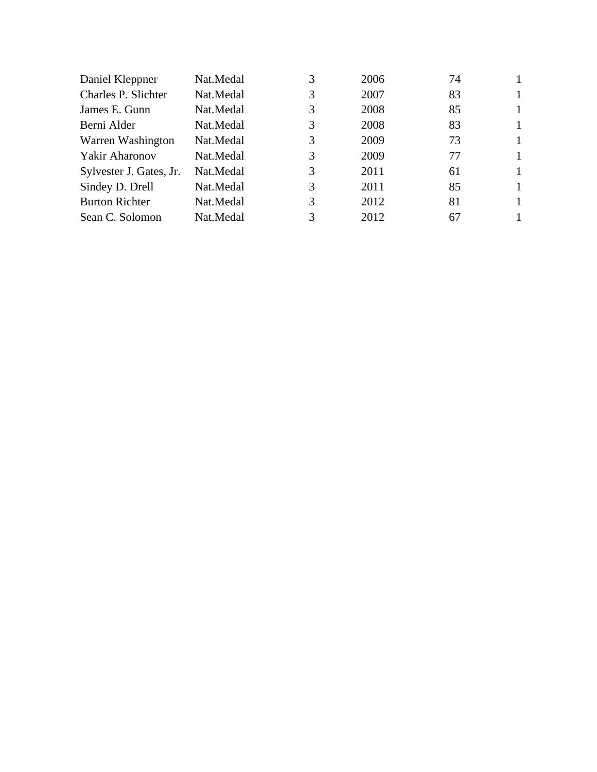| Nat.Medal |   | 2006                       | 74 |   |
|-----------|---|----------------------------|----|---|
| Nat.Medal | 3 | 2007                       | 83 | 1 |
| Nat.Medal |   | 2008                       | 85 | 1 |
| Nat.Medal |   | 2008                       | 83 | 1 |
| Nat.Medal |   | 2009                       | 73 | 1 |
| Nat.Medal |   | 2009                       | 77 | 1 |
| Nat.Medal |   | 2011                       | 61 | 1 |
| Nat.Medal |   | 2011                       | 85 | 1 |
| Nat.Medal |   | 2012                       | 81 | 1 |
| Nat.Medal | 3 | 2012                       | 67 | 1 |
|           |   | 3<br>3<br>3<br>3<br>3<br>3 |    |   |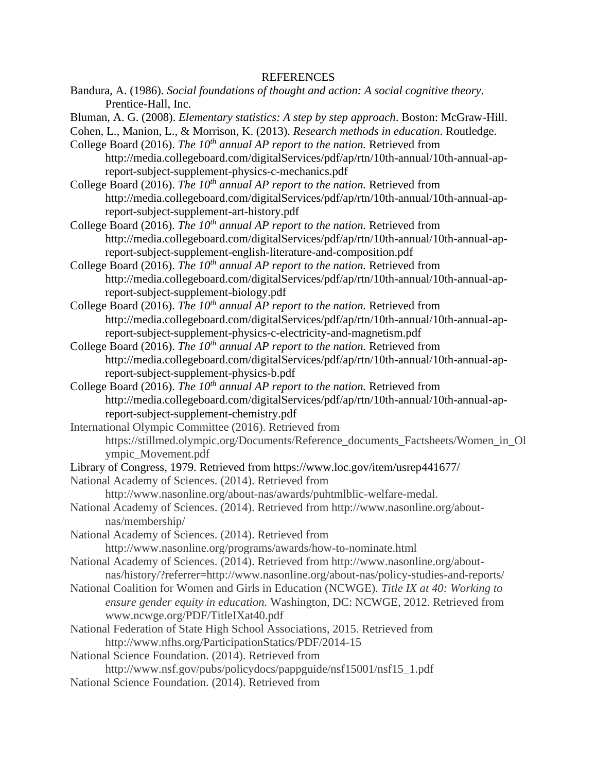Bandura, A. (1986). *Social foundations of thought and action: A social cognitive theory*. Prentice-Hall, Inc.

Bluman, A. G. (2008). *Elementary statistics: A step by step approach*. Boston: McGraw-Hill.

- Cohen, L., Manion, L., & Morrison, K. (2013). *Research methods in education*. Routledge.
- College Board (2016). *The 10th annual AP report to the nation.* Retrieved from

http://media.collegeboard.com/digitalServices/pdf/ap/rtn/10th-annual/10th-annual-apreport-subject-supplement-physics-c-mechanics.pdf

- College Board (2016). *The 10th annual AP report to the nation.* Retrieved from http://media.collegeboard.com/digitalServices/pdf/ap/rtn/10th-annual/10th-annual-apreport-subject-supplement-art-history.pdf
- College Board (2016). *The 10th annual AP report to the nation.* Retrieved from http://media.collegeboard.com/digitalServices/pdf/ap/rtn/10th-annual/10th-annual-apreport-subject-supplement-english-literature-and-composition.pdf
- College Board (2016). *The 10th annual AP report to the nation.* Retrieved from http://media.collegeboard.com/digitalServices/pdf/ap/rtn/10th-annual/10th-annual-apreport-subject-supplement-biology.pdf
- College Board (2016). *The 10th annual AP report to the nation.* Retrieved from http://media.collegeboard.com/digitalServices/pdf/ap/rtn/10th-annual/10th-annual-apreport-subject-supplement-physics-c-electricity-and-magnetism.pdf
- College Board (2016). *The 10th annual AP report to the nation.* Retrieved from http://media.collegeboard.com/digitalServices/pdf/ap/rtn/10th-annual/10th-annual-apreport-subject-supplement-physics-b.pdf
- College Board (2016). *The 10th annual AP report to the nation.* Retrieved from http://media.collegeboard.com/digitalServices/pdf/ap/rtn/10th-annual/10th-annual-apreport-subject-supplement-chemistry.pdf
- International Olympic Committee (2016). Retrieved from https://stillmed.olympic.org/Documents/Reference\_documents\_Factsheets/Women\_in\_Ol ympic\_Movement.pdf
- Library of Congress, 1979. Retrieved from https://www.loc.gov/item/usrep441677/
- National Academy of Sciences. (2014). Retrieved from
	- http://www.nasonline.org/about-nas/awards/puhtmlblic-welfare-medal.
- National Academy of Sciences. (2014). Retrieved from http://www.nasonline.org/aboutnas/membership/
- National Academy of Sciences. (2014). Retrieved from http://www.nasonline.org/programs/awards/how-to-nominate.html
- National Academy of Sciences. (2014). Retrieved from http://www.nasonline.org/aboutnas/history/?referrer=http://www.nasonline.org/about-nas/policy-studies-and-reports/
- National Coalition for Women and Girls in Education (NCWGE). *Title IX at 40: Working to ensure gender equity in education.* Washington, DC: NCWGE, 2012. Retrieved from www.ncwge.org/PDF/TitleIXat40.pdf
- National Federation of State High School Associations, 2015. Retrieved from http://www.nfhs.org/ParticipationStatics/PDF/2014-15
- National Science Foundation. (2014). Retrieved from
- http://www.nsf.gov/pubs/policydocs/pappguide/nsf15001/nsf15\_1.pdf
- National Science Foundation. (2014). Retrieved from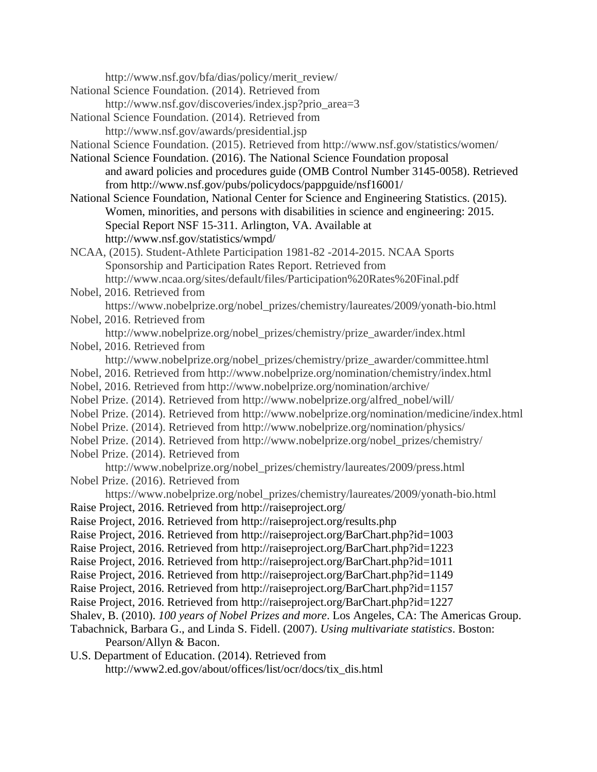http://www.nsf.gov/bfa/dias/policy/merit\_review/

- National Science Foundation. (2014). Retrieved from
	- http://www.nsf.gov/discoveries/index.jsp?prio\_area=3
- National Science Foundation. (2014). Retrieved from http://www.nsf.gov/awards/presidential.jsp

National Science Foundation. (2015). Retrieved from http://www.nsf.gov/statistics/women/

National Science Foundation. (2016). The National Science Foundation proposal and award policies and procedures guide (OMB Control Number 3145-0058). Retrieved from http://www.nsf.gov/pubs/policydocs/pappguide/nsf16001/

National Science Foundation, National Center for Science and Engineering Statistics. (2015). Women, minorities, and persons with disabilities in science and engineering: 2015. Special Report NSF 15-311. Arlington, VA. Available at http://www.nsf.gov/statistics/wmpd/

- NCAA, (2015). Student-Athlete Participation 1981-82 -2014-2015. NCAA Sports Sponsorship and Participation Rates Report. Retrieved from http://www.ncaa.org/sites/default/files/Participation%20Rates%20Final.pdf
- Nobel, 2016. Retrieved from https://www.nobelprize.org/nobel\_prizes/chemistry/laureates/2009/yonath-bio.html
- Nobel, 2016. Retrieved from http://www.nobelprize.org/nobel\_prizes/chemistry/prize\_awarder/index.html Nobel, 2016. Retrieved from

http://www.nobelprize.org/nobel\_prizes/chemistry/prize\_awarder/committee.html

- Nobel, 2016. Retrieved from http://www.nobelprize.org/nomination/chemistry/index.html
- Nobel, 2016. Retrieved from http://www.nobelprize.org/nomination/archive/
- Nobel Prize. (2014). Retrieved from http://www.nobelprize.org/alfred\_nobel/will/
- Nobel Prize. (2014). Retrieved from http://www.nobelprize.org/nomination/medicine/index.html
- Nobel Prize. (2014). Retrieved from http://www.nobelprize.org/nomination/physics/
- Nobel Prize. (2014). Retrieved from http://www.nobelprize.org/nobel\_prizes/chemistry/
- Nobel Prize. (2014). Retrieved from
- http://www.nobelprize.org/nobel\_prizes/chemistry/laureates/2009/press.html Nobel Prize. (2016). Retrieved from
	- https://www.nobelprize.org/nobel\_prizes/chemistry/laureates/2009/yonath-bio.html
- Raise Project, 2016. Retrieved from http://raiseproject.org/
- Raise Project, 2016. Retrieved from http://raiseproject.org/results.php
- Raise Project, 2016. Retrieved from http://raiseproject.org/BarChart.php?id=1003
- Raise Project, 2016. Retrieved from http://raiseproject.org/BarChart.php?id=1223
- Raise Project, 2016. Retrieved from http://raiseproject.org/BarChart.php?id=1011
- Raise Project, 2016. Retrieved from http://raiseproject.org/BarChart.php?id=1149
- Raise Project, 2016. Retrieved from http://raiseproject.org/BarChart.php?id=1157
- Raise Project, 2016. Retrieved from http://raiseproject.org/BarChart.php?id=1227
- Shalev, B. (2010). *100 years of Nobel Prizes and more*. Los Angeles, CA: The Americas Group.
- Tabachnick, Barbara G., and Linda S. Fidell. (2007). *Using multivariate statistics*. Boston: Pearson/Allyn & Bacon.
- U.S. Department of Education. (2014). Retrieved from http://www2.ed.gov/about/offices/list/ocr/docs/tix\_dis.html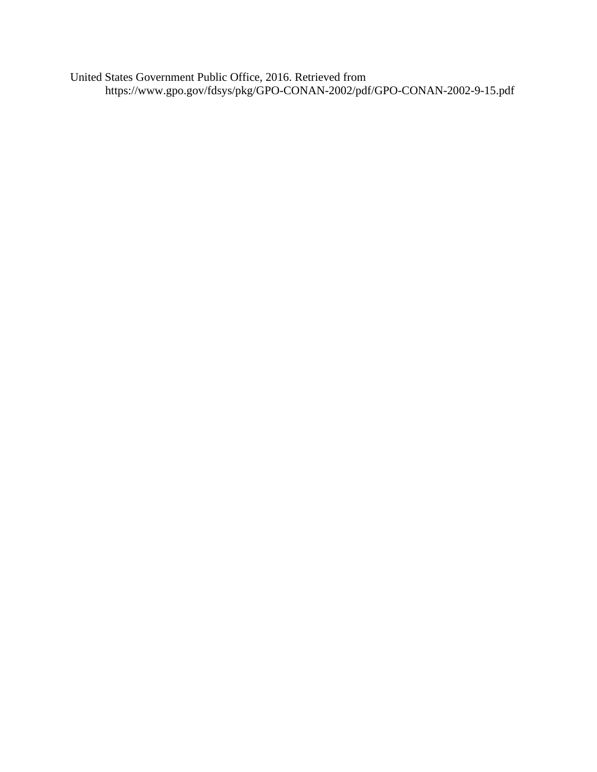United States Government Public Office, 2016. Retrieved from https://www.gpo.gov/fdsys/pkg/GPO-CONAN-2002/pdf/GPO-CONAN-2002-9-15.pdf